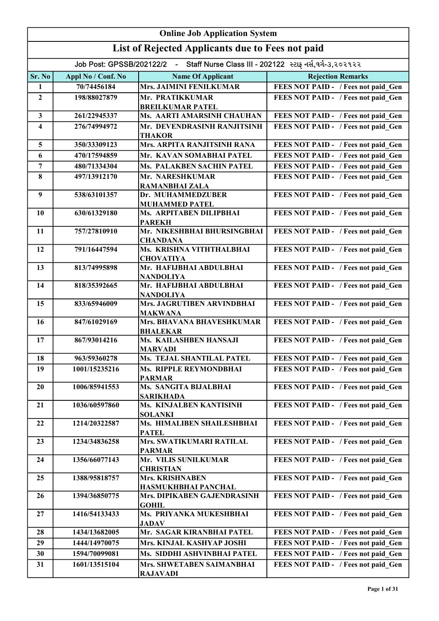|                         | <b>Online Job Application System</b>                                               |                                                |                                     |  |
|-------------------------|------------------------------------------------------------------------------------|------------------------------------------------|-------------------------------------|--|
|                         | List of Rejected Applicants due to Fees not paid                                   |                                                |                                     |  |
|                         | Job Post: GPSSB/202122/2 - Staff Nurse Class III - 202122 સ્ટાફ નર્સ,વર્ગ-૩,૨૦૨૧૨૨ |                                                |                                     |  |
| Sr. No                  | Appl No / Conf. No                                                                 | <b>Name Of Applicant</b>                       | <b>Rejection Remarks</b>            |  |
| $\mathbf{1}$            | 70/74456184                                                                        | <b>Mrs. JAIMINI FENILKUMAR</b>                 | FEES NOT PAID - / Fees not paid_Gen |  |
| $\boldsymbol{2}$        | 198/88027879                                                                       | Mr. PRATIKKUMAR<br><b>BREILKUMAR PATEL</b>     | FEES NOT PAID - / Fees not paid_Gen |  |
| $\mathbf{3}$            | 261/22945337                                                                       | Ms. AARTI AMARSINH CHAUHAN                     | FEES NOT PAID - / Fees not paid_Gen |  |
| $\overline{\mathbf{4}}$ | 276/74994972                                                                       | Mr. DEVENDRASINH RANJITSINH<br><b>THAKOR</b>   | FEES NOT PAID - / Fees not paid Gen |  |
| 5                       | 350/33309123                                                                       | Mrs. ARPITA RANJITSINH RANA                    | FEES NOT PAID - / Fees not paid Gen |  |
| 6                       | 470/17594859                                                                       | Mr. KAVAN SOMABHAI PATEL                       | FEES NOT PAID - / Fees not paid Gen |  |
| $\overline{7}$          | 480/71334304                                                                       | Ms. PALAKBEN SACHIN PATEL                      | FEES NOT PAID - / Fees not paid Gen |  |
| 8                       | 497/13912170                                                                       | Mr. NARESHKUMAR                                | FEES NOT PAID - / Fees not paid Gen |  |
|                         |                                                                                    | <b>RAMANBHAI ZALA</b>                          |                                     |  |
| 9                       | 538/63101357                                                                       | Dr. MUHAMMEDZUBER<br><b>MUHAMMED PATEL</b>     | FEES NOT PAID - / Fees not paid_Gen |  |
| 10                      | 630/61329180                                                                       | Ms. ARPITABEN DILIPBHAI<br><b>PAREKH</b>       | FEES NOT PAID - / Fees not paid_Gen |  |
| 11                      | 757/27810910                                                                       | Mr. NIKESHBHAI BHURSINGBHAI<br><b>CHANDANA</b> | FEES NOT PAID - / Fees not paid Gen |  |
| 12                      | 791/16447594                                                                       | Ms. KRISHNA VITHTHALBHAI<br><b>CHOVATIYA</b>   | FEES NOT PAID - / Fees not paid_Gen |  |
| 13                      | 813/74995898                                                                       | Mr. HAFIJBHAI ABDULBHAI<br><b>NANDOLIYA</b>    | FEES NOT PAID - / Fees not paid_Gen |  |
| 14                      | 818/35392665                                                                       | Mr. HAFIJBHAI ABDULBHAI<br><b>NANDOLIYA</b>    | FEES NOT PAID - / Fees not paid_Gen |  |
| 15                      | 833/65946009                                                                       | Mrs. JAGRUTIBEN ARVINDBHAI<br><b>MAKWANA</b>   | FEES NOT PAID - / Fees not paid Gen |  |
| 16                      | 847/61029169                                                                       | Mrs. BHAVANA BHAVESHKUMAR<br><b>BHALEKAR</b>   | FEES NOT PAID - / Fees not paid Gen |  |
| 17                      | 867/93014216                                                                       | Ms. KAILASHBEN HANSAJI<br><b>MARVADI</b>       | FEES NOT PAID - / Fees not paid Gen |  |
| 18                      | 963/59360278                                                                       | Ms. TEJAL SHANTILAL PATEL                      | FEES NOT PAID - / Fees not paid Gen |  |
| 19                      | 1001/15235216                                                                      | Ms. RIPPLE REYMONDBHAI                         | FEES NOT PAID - / Fees not paid Gen |  |
| 20                      | 1006/85941553                                                                      | <b>PARMAR</b><br>Ms. SANGITA BIJALBHAI         | FEES NOT PAID - / Fees not paid Gen |  |
|                         |                                                                                    | <b>SARIKHADA</b>                               |                                     |  |
| 21                      | 1036/60597860                                                                      | Ms. KINJALBEN KANTISINH<br><b>SOLANKI</b>      | FEES NOT PAID - / Fees not paid Gen |  |
| 22                      | 1214/20322587                                                                      | Ms. HIMALIBEN SHAILESHBHAI<br><b>PATEL</b>     | FEES NOT PAID - / Fees not paid Gen |  |
| 23                      | 1234/34836258                                                                      | Mrs. SWATIKUMARI RATILAL<br><b>PARMAR</b>      | FEES NOT PAID - / Fees not paid Gen |  |
| 24                      | 1356/66077143                                                                      | Mr. VILIS SUNILKUMAR<br><b>CHRISTIAN</b>       | FEES NOT PAID - / Fees not paid Gen |  |
| 25                      | 1388/95818757                                                                      | <b>Mrs. KRISHNABEN</b><br>HASMUKHBHAI PANCHAL  | FEES NOT PAID - / Fees not paid Gen |  |
| 26                      | 1394/36850775                                                                      | Mrs. DIPIKABEN GAJENDRASINH<br><b>GOHIL</b>    | FEES NOT PAID - / Fees not paid Gen |  |
| 27                      | 1416/54133433                                                                      | Ms. PRIYANKA MUKESHBHAI<br><b>JADAV</b>        | FEES NOT PAID - / Fees not paid Gen |  |
| 28                      | 1434/13682005                                                                      | Mr. SAGAR KIRANBHAI PATEL                      | FEES NOT PAID - / Fees not paid Gen |  |
| 29                      | 1444/14970075                                                                      | Mrs. KINJAL KASHYAP JOSHI                      | FEES NOT PAID - / Fees not paid Gen |  |
| 30                      | 1594/70099081                                                                      | Ms. SIDDHI ASHVINBHAI PATEL                    | FEES NOT PAID - / Fees not paid Gen |  |
| 31                      | 1601/13515104                                                                      | Mrs. SHWETABEN SAIMANBHAI<br><b>RAJAVADI</b>   | FEES NOT PAID - / Fees not paid Gen |  |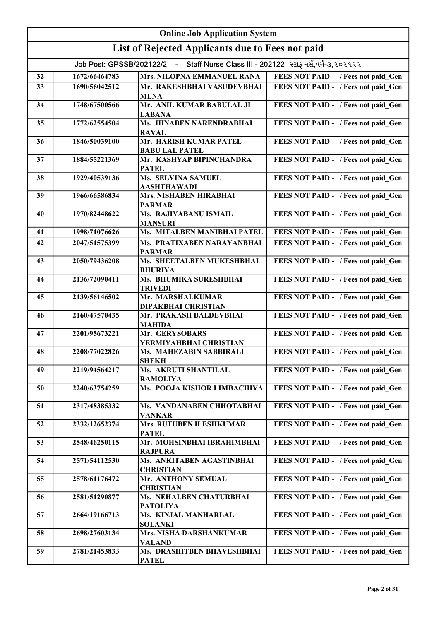|    | <b>Online Job Application System</b>                                               |                                                            |                                     |  |
|----|------------------------------------------------------------------------------------|------------------------------------------------------------|-------------------------------------|--|
|    | List of Rejected Applicants due to Fees not paid                                   |                                                            |                                     |  |
|    | Job Post: GPSSB/202122/2 - Staff Nurse Class III - 202122 સ્ટાફ નર્સ,વર્ગ-૩,૨૦૨૧૨૨ |                                                            |                                     |  |
| 32 | 1672/66464783                                                                      | Mrs. NILOPNA EMMANUEL RANA                                 | FEES NOT PAID - / Fees not paid Gen |  |
| 33 | 1690/56042512                                                                      | Mr. RAKESHBHAI VASUDEVBHAI                                 | FEES NOT PAID - / Fees not paid Gen |  |
|    |                                                                                    | <b>MENA</b>                                                |                                     |  |
| 34 | 1748/67500566                                                                      | Mr. ANIL KUMAR BABULAL JI<br><b>LABANA</b>                 | FEES NOT PAID - / Fees not paid Gen |  |
| 35 | 1772/62554504                                                                      | Ms. HINABEN NARENDRABHAI<br><b>RAVAL</b>                   | FEES NOT PAID - / Fees not paid Gen |  |
| 36 | 1846/50039100                                                                      | Mr. HARISH KUMAR PATEL<br><b>BABU LAL PATEL</b>            | FEES NOT PAID - / Fees not paid Gen |  |
| 37 | 1884/55221369                                                                      | Mr. KASHYAP BIPINCHANDRA<br><b>PATEL</b>                   | FEES NOT PAID - / Fees not paid Gen |  |
| 38 | 1929/40539136                                                                      | Ms. SELVINA SAMUEL<br>AASHTHAWADI                          | FEES NOT PAID - / Fees not paid_Gen |  |
| 39 | 1966/66586834                                                                      | Mrs. NISHABEN HIRABHAI<br><b>PARMAR</b>                    | FEES NOT PAID - / Fees not paid_Gen |  |
| 40 | 1970/82448622                                                                      | Ms. RAJIYABANU ISMAIL<br><b>MANSURI</b>                    | FEES NOT PAID - / Fees not paid Gen |  |
| 41 | 1998/71076626                                                                      | Ms. MITALBEN MANIBHAI PATEL                                | FEES NOT PAID - / Fees not paid Gen |  |
| 42 | 2047/51575399                                                                      | Ms. PRATIXABEN NARAYANBHAI<br><b>PARMAR</b>                | FEES NOT PAID - / Fees not paid Gen |  |
| 43 | 2050/79436208                                                                      | Ms. SHEETALBEN MUKESHBHAI                                  | FEES NOT PAID - / Fees not paid Gen |  |
| 44 | 2136/72090411                                                                      | <b>BHURIYA</b><br>Ms. BHUMIKA SURESHBHAI<br><b>TRIVEDI</b> | FEES NOT PAID - / Fees not paid Gen |  |
| 45 | 2139/56146502                                                                      | Mr. MARSHALKUMAR<br>DIPAKBHAI CHRISTIAN                    | FEES NOT PAID - / Fees not paid Gen |  |
| 46 | 2160/47570435                                                                      | Mr. PRAKASH BALDEVBHAI<br><b>MAHIDA</b>                    | FEES NOT PAID - / Fees not paid Gen |  |
| 47 | 2201/95673221                                                                      | Mr. GERYSOBARS<br>YERMIYAHBHAI CHRISTIAN                   | FEES NOT PAID - / Fees not paid Gen |  |
| 48 | 2208/77022826                                                                      | Ms. MAHEZABIN SABBIRALI<br><b>SHEKH</b>                    | FEES NOT PAID - / Fees not paid Gen |  |
| 49 | 2219/94564217                                                                      | Ms. AKRUTI SHANTILAL<br><b>RAMOLIYA</b>                    | FEES NOT PAID - / Fees not paid Gen |  |
| 50 | 2240/63754259                                                                      | Ms. POOJA KISHOR LIMBACHIYA                                | FEES NOT PAID - / Fees not paid Gen |  |
| 51 | 2317/48385332                                                                      | Ms. VANDANABEN CHHOTABHAI<br><b>VANKAR</b>                 | FEES NOT PAID - / Fees not paid Gen |  |
| 52 | 2332/12652374                                                                      | <b>Mrs. RUTUBEN ILESHKUMAR</b><br><b>PATEL</b>             | FEES NOT PAID - / Fees not paid Gen |  |
| 53 | 2548/46250115                                                                      | Mr. MOHSINBHAI IBRAHIMBHAI<br><b>RAJPURA</b>               | FEES NOT PAID - / Fees not paid Gen |  |
| 54 | 2571/54112530                                                                      | Ms. ANKITABEN AGASTINBHAI<br><b>CHRISTIAN</b>              | FEES NOT PAID - / Fees not paid Gen |  |
| 55 | 2578/61176472                                                                      | Mr. ANTHONY SEMUAL<br><b>CHRISTIAN</b>                     | FEES NOT PAID - / Fees not paid Gen |  |
| 56 | 2581/51290877                                                                      | Ms. NEHALBEN CHATURBHAI<br><b>PATOLIYA</b>                 | FEES NOT PAID - / Fees not paid Gen |  |
| 57 | 2664/19166713                                                                      | Ms. KINJAL MANHARLAL<br><b>SOLANKI</b>                     | FEES NOT PAID - / Fees not paid Gen |  |
| 58 | 2698/27603134                                                                      | Mrs. NISHA DARSHANKUMAR<br><b>VALAND</b>                   | FEES NOT PAID - / Fees not paid Gen |  |
| 59 | 2781/21453833                                                                      | Ms. DRASHITBEN BHAVESHBHAI<br><b>PATEL</b>                 | FEES NOT PAID - / Fees not paid Gen |  |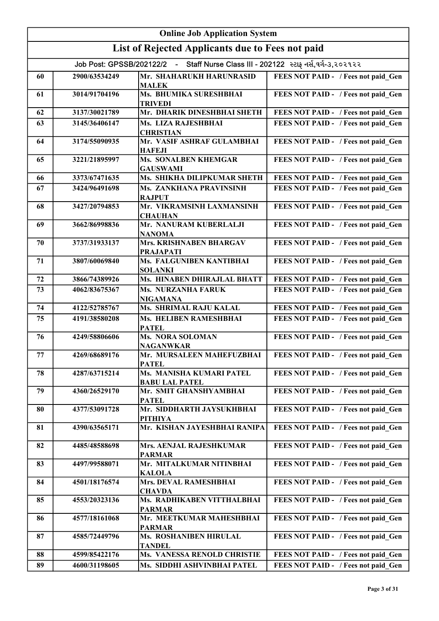|    | <b>Online Job Application System</b> |                                                                                    |                                     |  |
|----|--------------------------------------|------------------------------------------------------------------------------------|-------------------------------------|--|
|    |                                      | List of Rejected Applicants due to Fees not paid                                   |                                     |  |
|    |                                      | Job Post: GPSSB/202122/2 - Staff Nurse Class III - 202122 સ્ટાફ નર્સ,વર્ગ-૩,૨૦૨૧૨૨ |                                     |  |
| 60 | 2900/63534249                        | Mr. SHAHARUKH HARUNRASID<br><b>MALEK</b>                                           | FEES NOT PAID - / Fees not paid Gen |  |
| 61 | 3014/91704196                        | Ms. BHUMIKA SURESHBHAI<br><b>TRIVEDI</b>                                           | FEES NOT PAID - / Fees not paid Gen |  |
| 62 | 3137/30021789                        | Mr. DHARIK DINESHBHAI SHETH                                                        | FEES NOT PAID - / Fees not paid Gen |  |
| 63 | 3145/36406147                        | Ms. LIZA RAJESHBHAI<br><b>CHRISTIAN</b>                                            | FEES NOT PAID - / Fees not paid Gen |  |
| 64 | 3174/55090935                        | Mr. VASIF ASHRAF GULAMBHAI<br><b>HAFEJI</b>                                        | FEES NOT PAID - / Fees not paid Gen |  |
| 65 | 3221/21895997                        | <b>Ms. SONALBEN KHEMGAR</b><br><b>GAUSWAMI</b>                                     | FEES NOT PAID - / Fees not paid Gen |  |
| 66 | 3373/67471635                        | Ms. SHIKHA DILIPKUMAR SHETH                                                        | FEES NOT PAID - / Fees not paid Gen |  |
| 67 | 3424/96491698                        | Ms. ZANKHANA PRAVINSINH<br><b>RAJPUT</b>                                           | FEES NOT PAID - / Fees not paid Gen |  |
| 68 | 3427/20794853                        | Mr. VIKRAMSINH LAXMANSINH<br><b>CHAUHAN</b>                                        | FEES NOT PAID - / Fees not paid Gen |  |
| 69 | 3662/86998836                        | Mr. NANURAM KUBERLALJI<br><b>NANOMA</b>                                            | FEES NOT PAID - / Fees not paid Gen |  |
| 70 | 3737/31933137                        | Mrs. KRISHNABEN BHARGAV<br><b>PRAJAPATI</b>                                        | FEES NOT PAID - / Fees not paid Gen |  |
| 71 | 3807/60069840                        | Ms. FALGUNIBEN KANTIBHAI<br><b>SOLANKI</b>                                         | FEES NOT PAID - / Fees not paid Gen |  |
| 72 | 3866/74389926                        | Ms. HINABEN DHIRAJLAL BHATT                                                        | FEES NOT PAID - / Fees not paid Gen |  |
| 73 | 4062/83675367                        | Ms. NURZANHA FARUK<br>NIGAMANA                                                     | FEES NOT PAID - / Fees not paid Gen |  |
| 74 | 4122/52785767                        | Ms. SHRIMAL RAJU KALAL                                                             | FEES NOT PAID - / Fees not paid Gen |  |
| 75 | 4191/38580208                        | Ms. HELIBEN RAMESHBHAI<br><b>PATEL</b>                                             | FEES NOT PAID - / Fees not paid Gen |  |
| 76 | 4249/58806606                        | <b>Ms. NORA SOLOMAN</b><br><b>NAGANWKAR</b>                                        | FEES NOT PAID - / Fees not paid Gen |  |
| 77 | 4269/68689176                        | Mr. MURSALEEN MAHEFUZBHAI<br>PATEL                                                 | FEES NOT PAID - / Fees not paid_Gen |  |
| 78 | 4287/63715214                        | Ms. MANISHA KUMARI PATEL<br><b>BABU LAL PATEL</b>                                  | FEES NOT PAID - / Fees not paid Gen |  |
| 79 | 4360/26529170                        | Mr. SMIT GHANSHYAMBHAI<br><b>PATEL</b>                                             | FEES NOT PAID - / Fees not paid Gen |  |
| 80 | 4377/53091728                        | Mr. SIDDHARTH JAYSUKHBHAI<br>PITHIYA                                               | FEES NOT PAID - / Fees not paid Gen |  |
| 81 | 4390/63565171                        | Mr. KISHAN JAYESHBHAI RANIPA                                                       | FEES NOT PAID - / Fees not paid Gen |  |
| 82 | 4485/48588698                        | Mrs. AENJAL RAJESHKUMAR<br><b>PARMAR</b>                                           | FEES NOT PAID - / Fees not paid Gen |  |
| 83 | 4497/99588071                        | Mr. MITALKUMAR NITINBHAI<br><b>KALOLA</b>                                          | FEES NOT PAID - / Fees not paid Gen |  |
| 84 | 4501/18176574                        | Mrs. DEVAL RAMESHBHAI<br><b>CHAVDA</b>                                             | FEES NOT PAID - / Fees not paid Gen |  |
| 85 | 4553/20323136                        | Ms. RADHIKABEN VITTHALBHAI<br><b>PARMAR</b>                                        | FEES NOT PAID - / Fees not paid Gen |  |
| 86 | 4577/18161068                        | Mr. MEETKUMAR MAHESHBHAI<br><b>PARMAR</b>                                          | FEES NOT PAID - / Fees not paid Gen |  |
| 87 | 4585/72449796                        | Ms. ROSHANIBEN HIRULAL<br><b>TANDEL</b>                                            | FEES NOT PAID - / Fees not paid Gen |  |
| 88 | 4599/85422176                        | <b>Ms. VANESSA RENOLD CHRISTIE</b>                                                 | FEES NOT PAID - / Fees not paid Gen |  |
| 89 | 4600/31198605                        | Ms. SIDDHI ASHVINBHAI PATEL                                                        | FEES NOT PAID - / Fees not paid Gen |  |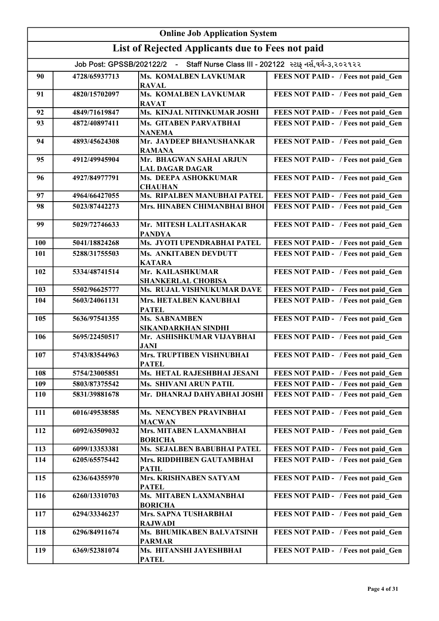|     | <b>Online Job Application System</b>                                               |                                                          |                                     |  |
|-----|------------------------------------------------------------------------------------|----------------------------------------------------------|-------------------------------------|--|
|     |                                                                                    | List of Rejected Applicants due to Fees not paid         |                                     |  |
|     | Job Post: GPSSB/202122/2 - Staff Nurse Class III - 202122 સ્ટાફ નર્સ,વર્ગ-૩,૨૦૨૧૨૨ |                                                          |                                     |  |
| 90  | 4728/65937713                                                                      | Ms. KOMALBEN LAVKUMAR                                    | FEES NOT PAID - / Fees not paid Gen |  |
|     |                                                                                    | <b>RAVAL</b>                                             |                                     |  |
| 91  | 4820/15702097                                                                      | <b>Ms. KOMALBEN LAVKUMAR</b><br><b>RAVAT</b>             | FEES NOT PAID - / Fees not paid Gen |  |
| 92  | 4849/71619847                                                                      | Ms. KINJAL NITINKUMAR JOSHI                              | FEES NOT PAID - / Fees not paid Gen |  |
| 93  | 4872/40897411                                                                      | <b>Ms. GITABEN PARVATBHAI</b><br><b>NANEMA</b>           | FEES NOT PAID - / Fees not paid Gen |  |
| 94  | 4893/45624308                                                                      | Mr. JAYDEEP BHANUSHANKAR<br><b>RAMANA</b>                | FEES NOT PAID - / Fees not paid Gen |  |
| 95  | 4912/49945904                                                                      | Mr. BHAGWAN SAHAI ARJUN<br><b>LAL DAGAR DAGAR</b>        | FEES NOT PAID - / Fees not paid Gen |  |
| 96  | 4927/84977791                                                                      | Ms. DEEPA ASHOKKUMAR<br><b>CHAUHAN</b>                   | FEES NOT PAID - / Fees not paid Gen |  |
| 97  | 4964/66427055                                                                      | Ms. RIPALBEN MANUBHAI PATEL                              | FEES NOT PAID - / Fees not paid Gen |  |
| 98  | 5023/87442273                                                                      | Mrs. HINABEN CHIMANBHAI BHOI                             | FEES NOT PAID - / Fees not paid Gen |  |
| 99  | 5029/72746633                                                                      | Mr. MITESH LALITASHAKAR<br><b>PANDYA</b>                 | FEES NOT PAID - / Fees not paid Gen |  |
| 100 | 5041/18824268                                                                      | Ms. JYOTI UPENDRABHAI PATEL                              | FEES NOT PAID - / Fees not paid Gen |  |
| 101 | 5288/31755503                                                                      | <b>Ms. ANKITABEN DEVDUTT</b><br><b>KATARA</b>            | FEES NOT PAID - / Fees not paid Gen |  |
| 102 | 5334/48741514                                                                      | Mr. KAILASHKUMAR<br><b>SHANKERLAL CHOBISA</b>            | FEES NOT PAID - / Fees not paid Gen |  |
| 103 | 5502/96625777                                                                      | Ms. RUJAL VISHNUKUMAR DAVE                               | FEES NOT PAID - / Fees not paid Gen |  |
| 104 | 5603/24061131                                                                      | Mrs. HETALBEN KANUBHAI<br><b>PATEL</b>                   | FEES NOT PAID - / Fees not paid Gen |  |
| 105 | 5636/97541355                                                                      | Ms. SABNAMBEN<br><b>SIKANDARKHAN SINDHI</b>              | FEES NOT PAID - / Fees not paid Gen |  |
| 106 | 5695/22450517                                                                      | Mr. ASHISHKUMAR VIJAYBHAI<br><b>JANI</b>                 | FEES NOT PAID - / Fees not paid Gen |  |
| 107 | 5743/83544963                                                                      | Mrs. TRUPTIBEN VISHNUBHAI<br><b>PATEL</b>                | FEES NOT PAID - / Fees not paid Gen |  |
| 108 | 5754/23005851                                                                      | Ms. HETAL RAJESHBHAI JESANI                              | FEES NOT PAID - / Fees not paid Gen |  |
| 109 | 5803/87375542                                                                      | <b>Ms. SHIVANI ARUN PATIL</b>                            | FEES NOT PAID - / Fees not paid Gen |  |
| 110 | 5831/39881678                                                                      | Mr. DHANRAJ DAHYABHAI JOSHI                              | FEES NOT PAID - / Fees not paid Gen |  |
| 111 | 6016/49538585                                                                      | Ms. NENCYBEN PRAVINBHAI<br><b>MACWAN</b>                 | FEES NOT PAID - / Fees not paid Gen |  |
| 112 | 6092/63509032                                                                      | Mrs. MITABEN LAXMANBHAI<br><b>BORICHA</b>                | FEES NOT PAID - / Fees not paid Gen |  |
| 113 | 6099/13353381                                                                      | Ms. SEJALBEN BABUBHAI PATEL                              | FEES NOT PAID - / Fees not paid Gen |  |
| 114 | 6205/65575442                                                                      | Mrs. RIDDHIBEN GAUTAMBHAI<br><b>PATIL</b>                | FEES NOT PAID - / Fees not paid Gen |  |
| 115 | 6236/64355970                                                                      | Mrs. KRISHNABEN SATYAM<br><b>PATEL</b>                   | FEES NOT PAID - / Fees not paid Gen |  |
| 116 | 6260/13310703                                                                      | Ms. MITABEN LAXMANBHAI<br><b>BORICHA</b>                 | FEES NOT PAID - / Fees not paid Gen |  |
| 117 | 6294/33346237                                                                      | Mrs. SAPNA TUSHARBHAI                                    | FEES NOT PAID - / Fees not paid Gen |  |
| 118 | 6296/84911674                                                                      | <b>RAJWADI</b><br>Ms. BHUMIKABEN BALVATSINH              | FEES NOT PAID - / Fees not paid Gen |  |
| 119 | 6369/52381074                                                                      | <b>PARMAR</b><br>Ms. HITANSHI JAYESHBHAI<br><b>PATEL</b> | FEES NOT PAID - / Fees not paid Gen |  |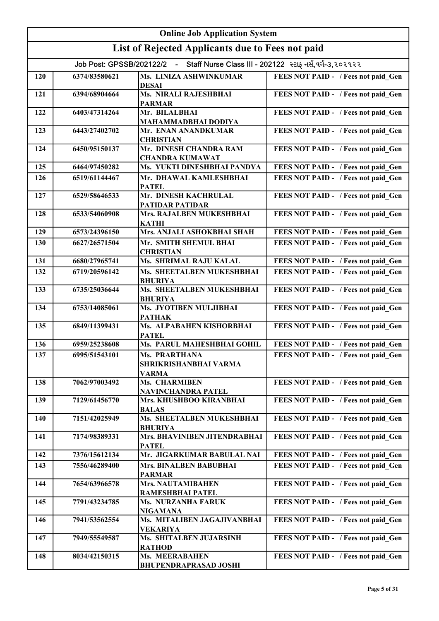| <b>Online Job Application System</b> |               |                                                                                    |                                     |
|--------------------------------------|---------------|------------------------------------------------------------------------------------|-------------------------------------|
|                                      |               | List of Rejected Applicants due to Fees not paid                                   |                                     |
|                                      |               | Job Post: GPSSB/202122/2 - Staff Nurse Class III - 202122 સ્ટાફ નર્સ,વર્ગ-૩,૨૦૨૧૨૨ |                                     |
| 120                                  | 6374/83580621 | Ms. LINIZA ASHWINKUMAR                                                             | FEES NOT PAID - / Fees not paid Gen |
|                                      |               | <b>DESAI</b>                                                                       |                                     |
| 121                                  | 6394/68904664 | Ms. NIRALI RAJESHBHAI<br><b>PARMAR</b>                                             | FEES NOT PAID - / Fees not paid Gen |
| 122                                  | 6403/47314264 | Mr. BILALBHAI                                                                      | FEES NOT PAID - / Fees not paid Gen |
|                                      |               | MAHAMMADBHAI DODIYA                                                                |                                     |
| 123                                  | 6443/27402702 | Mr. ENAN ANANDKUMAR<br><b>CHRISTIAN</b>                                            | FEES NOT PAID - / Fees not paid Gen |
| 124                                  | 6450/95150137 | Mr. DINESH CHANDRA RAM                                                             | FEES NOT PAID - / Fees not paid Gen |
| 125                                  | 6464/97450282 | <b>CHANDRA KUMAWAT</b><br>Ms. YUKTI DINESHBHAI PANDYA                              | FEES NOT PAID - / Fees not paid Gen |
| 126                                  | 6519/61144467 | Mr. DHAWAL KAMLESHBHAI                                                             | FEES NOT PAID - / Fees not paid Gen |
|                                      |               | <b>PATEL</b>                                                                       |                                     |
| 127                                  | 6529/58646533 | Mr. DINESH KACHRULAL<br><b>PATIDAR PATIDAR</b>                                     | FEES NOT PAID - / Fees not paid Gen |
| 128                                  | 6533/54060908 | Mrs. RAJALBEN MUKESHBHAI                                                           | FEES NOT PAID - / Fees not paid Gen |
|                                      |               | <b>KATHI</b>                                                                       |                                     |
| 129                                  | 6573/24396150 | Mrs. ANJALI ASHOKBHAI SHAH                                                         | FEES NOT PAID - / Fees not paid Gen |
| 130                                  | 6627/26571504 | Mr. SMITH SHEMUL BHAI<br><b>CHRISTIAN</b>                                          | FEES NOT PAID - / Fees not paid Gen |
| 131                                  | 6680/27965741 | Ms. SHRIMAL RAJU KALAL                                                             | FEES NOT PAID - / Fees not paid Gen |
| 132                                  | 6719/20596142 | Ms. SHEETALBEN MUKESHBHAI                                                          | FEES NOT PAID - / Fees not paid Gen |
| 133                                  | 6735/25036644 | <b>BHURIYA</b><br>Ms. SHEETALBEN MUKESHBHAI                                        | FEES NOT PAID - / Fees not paid Gen |
|                                      |               | <b>BHURIYA</b>                                                                     |                                     |
| 134                                  | 6753/14085061 | Ms. JYOTIBEN MULJIBHAI<br><b>PATHAK</b>                                            | FEES NOT PAID - / Fees not paid Gen |
| 135                                  | 6849/11399431 | Ms. ALPABAHEN KISHORBHAI<br><b>PATEL</b>                                           | FEES NOT PAID - / Fees not paid Gen |
| 136                                  | 6959/25238608 | Ms. PARUL MAHESHBHAI GOHIL                                                         | FEES NOT PAID - / Fees not paid Gen |
| 137                                  | 6995/51543101 | <b>Ms. PRARTHANA</b><br>SHRIKRISHANBHAI VARMA                                      | FEES NOT PAID - / Fees not paid_Gen |
|                                      |               | <b>VARMA</b>                                                                       |                                     |
| 138                                  | 7062/97003492 | <b>Ms. CHARMIBEN</b><br>NAVINCHANDRA PATEL                                         | FEES NOT PAID - / Fees not paid Gen |
| 139                                  | 7129/61456770 | Mrs. KHUSHBOO KIRANBHAI                                                            | FEES NOT PAID - / Fees not paid Gen |
| 140                                  | 7151/42025949 | <b>BALAS</b><br>Ms. SHEETALBEN MUKESHBHAI                                          | FEES NOT PAID - / Fees not paid Gen |
|                                      |               | <b>BHURIYA</b>                                                                     |                                     |
| 141                                  | 7174/98389331 | Mrs. BHAVINIBEN JITENDRABHAI<br><b>PATEL</b>                                       | FEES NOT PAID - / Fees not paid Gen |
| 142                                  | 7376/15612134 | Mr. JIGARKUMAR BABULAL NAI                                                         | FEES NOT PAID - / Fees not paid Gen |
| 143                                  | 7556/46289400 | <b>Mrs. BINALBEN BABUBHAI</b><br><b>PARMAR</b>                                     | FEES NOT PAID - / Fees not paid Gen |
| 144                                  | 7654/63966578 | <b>Mrs. NAUTAMIBAHEN</b><br>RAMESHBHAI PATEL                                       | FEES NOT PAID - / Fees not paid Gen |
| 145                                  | 7791/43234785 | <b>Ms. NURZANHA FARUK</b><br><b>NIGAMANA</b>                                       | FEES NOT PAID - / Fees not paid Gen |
| 146                                  | 7941/53562554 | Ms. MITALIBEN JAGAJIVANBHAI<br><b>VEKARIYA</b>                                     | FEES NOT PAID - / Fees not paid Gen |
| 147                                  | 7949/55549587 | Ms. SHITALBEN JUJARSINH<br><b>RATHOD</b>                                           | FEES NOT PAID - / Fees not paid Gen |
| 148                                  | 8034/42150315 | <b>Ms. MEERABAHEN</b><br><b>BHUPENDRAPRASAD JOSHI</b>                              | FEES NOT PAID - / Fees not paid Gen |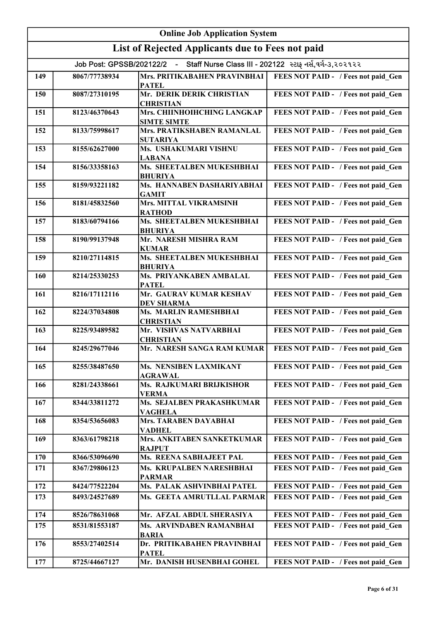| <b>Online Job Application System</b> |                                                                                    |                                                             |                                     |  |
|--------------------------------------|------------------------------------------------------------------------------------|-------------------------------------------------------------|-------------------------------------|--|
|                                      |                                                                                    | List of Rejected Applicants due to Fees not paid            |                                     |  |
|                                      | Job Post: GPSSB/202122/2 - Staff Nurse Class III - 202122 સ્ટાફ નર્સ,વર્ગ-૩,૨૦૨૧૨૨ |                                                             |                                     |  |
| 149                                  | 8067/77738934                                                                      | Mrs. PRITIKABAHEN PRAVINBHAI<br><b>PATEL</b>                | FEES NOT PAID - / Fees not paid Gen |  |
| 150                                  | 8087/27310195                                                                      | Mr. DERIK DERIK CHRISTIAN<br><b>CHRISTIAN</b>               | FEES NOT PAID - / Fees not paid Gen |  |
| 151                                  | 8123/46370643                                                                      | Mrs. CHIINHOIHCHING LANGKAP<br><b>SIMTE SIMTE</b>           | FEES NOT PAID - / Fees not paid Gen |  |
| 152                                  | 8133/75998617                                                                      | Mrs. PRATIKSHABEN RAMANLAL<br><b>SUTARIYA</b>               | FEES NOT PAID - / Fees not paid Gen |  |
| 153                                  | 8155/62627000                                                                      | Ms. USHAKUMARI VISHNU<br><b>LABANA</b>                      | FEES NOT PAID - / Fees not paid Gen |  |
| 154                                  | 8156/33358163                                                                      | Ms. SHEETALBEN MUKESHBHAI<br><b>BHURIYA</b>                 | FEES NOT PAID - / Fees not paid Gen |  |
| 155                                  | 8159/93221182                                                                      | Ms. HANNABEN DASHARIYABHAI<br><b>GAMIT</b>                  | FEES NOT PAID - / Fees not paid_Gen |  |
| 156                                  | 8181/45832560                                                                      | Mrs. MITTAL VIKRAMSINH<br><b>RATHOD</b>                     | FEES NOT PAID - / Fees not paid Gen |  |
| 157                                  | 8183/60794166                                                                      | Ms. SHEETALBEN MUKESHBHAI<br><b>BHURIYA</b>                 | FEES NOT PAID - / Fees not paid_Gen |  |
| 158                                  | 8190/99137948                                                                      | Mr. NARESH MISHRA RAM<br><b>KUMAR</b>                       | FEES NOT PAID - / Fees not paid_Gen |  |
| 159                                  | 8210/27114815                                                                      | Ms. SHEETALBEN MUKESHBHAI<br><b>BHURIYA</b>                 | FEES NOT PAID - / Fees not paid_Gen |  |
| 160                                  | 8214/25330253                                                                      | Ms. PRIYANKABEN AMBALAL<br><b>PATEL</b>                     | FEES NOT PAID - / Fees not paid_Gen |  |
| 161                                  | 8216/17112116                                                                      | Mr. GAURAV KUMAR KESHAV<br><b>DEV SHARMA</b>                | FEES NOT PAID - / Fees not paid_Gen |  |
| 162                                  | 8224/37034808                                                                      | Ms. MARLIN RAMESHBHAI<br><b>CHRISTIAN</b>                   | FEES NOT PAID - / Fees not paid_Gen |  |
| 163                                  | 8225/93489582                                                                      | Mr. VISHVAS NATVARBHAI<br><b>CHRISTIAN</b>                  | FEES NOT PAID - / Fees not paid_Gen |  |
| 164                                  | 8245/29677046                                                                      | Mr. NARESH SANGA RAM KUMAR                                  | FEES NOT PAID - / Fees not paid Gen |  |
| 165                                  | 8255/38487650                                                                      | Ms. NENSIBEN LAXMIKANT<br><b>AGRAWAL</b>                    | FEES NOT PAID - / Fees not paid Gen |  |
| 166                                  | 8281/24338661                                                                      | Ms. RAJKUMARI BRIJKISHOR<br><b>VERMA</b>                    | FEES NOT PAID - / Fees not paid_Gen |  |
| 167                                  | 8344/33811272                                                                      | Ms. SEJALBEN PRAKASHKUMAR<br><b>VAGHELA</b>                 | FEES NOT PAID - / Fees not paid Gen |  |
| 168                                  | 8354/53656083                                                                      | <b>Mrs. TARABEN DAYABHAI</b><br><b>VADHEL</b>               | FEES NOT PAID - / Fees not paid Gen |  |
| 169                                  | 8363/61798218                                                                      | Mrs. ANKITABEN SANKETKUMAR<br><b>RAJPUT</b>                 | FEES NOT PAID - / Fees not paid Gen |  |
| 170                                  | 8366/53096690                                                                      | Ms. REENA SABHAJEET PAL                                     | FEES NOT PAID - / Fees not paid Gen |  |
| 171                                  | 8367/29806123                                                                      | Ms. KRUPALBEN NARESHBHAI<br><b>PARMAR</b>                   | FEES NOT PAID - / Fees not paid Gen |  |
| 172                                  | 8424/77522204                                                                      | <b>Ms. PALAK ASHVINBHAI PATEL</b>                           | FEES NOT PAID - / Fees not paid Gen |  |
| 173                                  | 8493/24527689                                                                      | Ms. GEETA AMRUTLLAL PARMAR                                  | FEES NOT PAID - / Fees not paid Gen |  |
| 174                                  | 8526/78631068                                                                      | Mr. AFZAL ABDUL SHERASIYA                                   | FEES NOT PAID - / Fees not paid Gen |  |
| 175                                  | 8531/81553187                                                                      | Ms. ARVINDABEN RAMANBHAI                                    | FEES NOT PAID - / Fees not paid Gen |  |
| 176                                  | 8553/27402514                                                                      | <b>BARIA</b><br>Dr. PRITIKABAHEN PRAVINBHAI<br><b>PATEL</b> | FEES NOT PAID - / Fees not paid Gen |  |
| 177                                  | 8725/44667127                                                                      | Mr. DANISH HUSENBHAI GOHEL                                  | FEES NOT PAID - / Fees not paid Gen |  |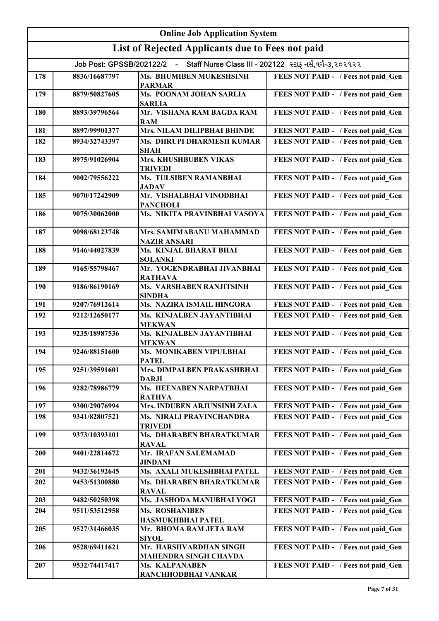| <b>Online Job Application System</b> |               |                                                                                    |                                     |
|--------------------------------------|---------------|------------------------------------------------------------------------------------|-------------------------------------|
|                                      |               | List of Rejected Applicants due to Fees not paid                                   |                                     |
|                                      |               | Job Post: GPSSB/202122/2 - Staff Nurse Class III - 202122 સ્ટાફ નર્સ,વર્ગ-૩,૨૦૨૧૨૨ |                                     |
| 178                                  | 8836/16687797 | Ms. BHUMIBEN MUKESHSINH<br><b>PARMAR</b>                                           | FEES NOT PAID - / Fees not paid Gen |
| 179                                  | 8879/50827605 | Ms. POONAM JOHAN SARLIA<br><b>SARLIA</b>                                           | FEES NOT PAID - / Fees not paid Gen |
| 180                                  | 8893/39796564 | Mr. VISHANA RAM BAGDA RAM<br><b>RAM</b>                                            | FEES NOT PAID - / Fees not paid Gen |
| 181                                  | 8897/99901377 | Mrs. NILAM DILIPBHAI BHINDE                                                        | FEES NOT PAID - / Fees not paid Gen |
| 182                                  | 8934/32743397 | Ms. DHRUPI DHARMESH KUMAR<br><b>SHAH</b>                                           | FEES NOT PAID - / Fees not paid Gen |
| 183                                  | 8975/91026904 | Mrs. KHUSHBUBEN VIKAS<br><b>TRIVEDI</b>                                            | FEES NOT PAID - / Fees not paid Gen |
| 184                                  | 9002/79556222 | Ms. TULSIBEN RAMANBHAI<br><b>JADAV</b>                                             | FEES NOT PAID - / Fees not paid_Gen |
| 185                                  | 9070/17242909 | Mr. VISHALBHAI VINODBHAI<br><b>PANCHOLI</b>                                        | FEES NOT PAID - / Fees not paid_Gen |
| 186                                  | 9075/30062000 | Ms. NIKITA PRAVINBHAI VASOYA                                                       | FEES NOT PAID - / Fees not paid_Gen |
| 187                                  | 9098/68123748 | Mrs. SAMIMABANU MAHAMMAD<br><b>NAZIR ANSARI</b>                                    | FEES NOT PAID - / Fees not paid_Gen |
| 188                                  | 9146/44027839 | Ms. KINJAL BHARAT BHAI<br><b>SOLANKI</b>                                           | FEES NOT PAID - / Fees not paid_Gen |
| 189                                  | 9165/55798467 | Mr. YOGENDRABHAI JIVANBHAI<br><b>RATHAVA</b>                                       | FEES NOT PAID - / Fees not paid Gen |
| 190                                  | 9186/86190169 | Ms. VARSHABEN RANJITSINH<br><b>SINDHA</b>                                          | FEES NOT PAID - / Fees not paid Gen |
| 191                                  | 9207/76912614 | Ms. NAZIRA ISMAIL HINGORA                                                          | FEES NOT PAID - / Fees not paid Gen |
| 192                                  | 9212/12650177 | Ms. KINJALBEN JAYANTIBHAI<br><b>MEKWAN</b>                                         | FEES NOT PAID - / Fees not paid Gen |
| 193                                  | 9235/18987536 | Ms. KINJALBEN JAYANTIBHAI<br><b>MEKWAN</b>                                         | FEES NOT PAID - / Fees not paid Gen |
| 194                                  | 9246/88151600 | Ms. MONIKABEN VIPULBHAI<br><b>PATEL</b>                                            | FEES NOT PAID - / Fees not paid Gen |
| 195                                  | 9251/39591601 | Mrs. DIMPALBEN PRAKASHBHAI<br><b>DARJI</b>                                         | FEES NOT PAID - / Fees not paid Gen |
| 196                                  | 9282/78986779 | Ms. HEENABEN NARPATBHAI<br><b>RATHVA</b>                                           | FEES NOT PAID - / Fees not paid Gen |
| 197                                  | 9300/29076994 | Mrs. INDUBEN ARJUNSINH ZALA                                                        | FEES NOT PAID - / Fees not paid Gen |
| 198                                  | 9341/82807521 | Ms. NIRALI PRAVINCHANDRA<br><b>TRIVEDI</b>                                         | FEES NOT PAID - / Fees not paid Gen |
| 199                                  | 9373/10393101 | Ms. DHARABEN BHARATKUMAR<br><b>RAVAL</b>                                           | FEES NOT PAID - / Fees not paid Gen |
| 200                                  | 9401/22814672 | Mr. IRAFAN SALEMAMAD<br>JINDANI                                                    | FEES NOT PAID - / Fees not paid Gen |
| 201                                  | 9432/36192645 | Ms. AXALI MUKESHBHAI PATEL                                                         | FEES NOT PAID - / Fees not paid Gen |
| 202                                  | 9453/51300880 | Ms. DHARABEN BHARATKUMAR<br><b>RAVAL</b>                                           | FEES NOT PAID - / Fees not paid Gen |
| 203                                  | 9482/50250398 | Ms. JASHODA MANUBHAI YOGI                                                          | FEES NOT PAID - / Fees not paid Gen |
| 204                                  | 9511/53512958 | Ms. ROSHANIBEN<br><b>HASMUKHBHAI PATEL</b>                                         | FEES NOT PAID - / Fees not paid Gen |
| 205                                  | 9527/31466035 | Mr. BHOMA RAM JETA RAM<br><b>SIYOL</b>                                             | FEES NOT PAID - / Fees not paid Gen |
| 206                                  | 9528/69411621 | Mr. HARSHVARDHAN SINGH<br><b>MAHENDRA SINGH CHAVDA</b>                             | FEES NOT PAID - / Fees not paid Gen |
| 207                                  | 9532/74417417 | Ms. KALPANABEN<br>RANCHHODBHAI VANKAR                                              | FEES NOT PAID - / Fees not paid Gen |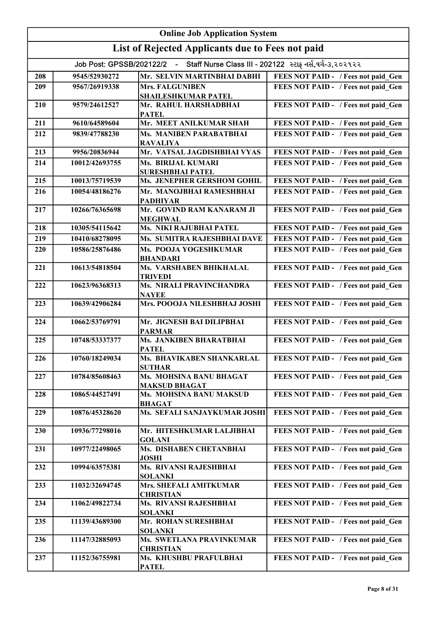| <b>Online Job Application System</b>             |                                                                                    |                                                 |                                     |  |
|--------------------------------------------------|------------------------------------------------------------------------------------|-------------------------------------------------|-------------------------------------|--|
| List of Rejected Applicants due to Fees not paid |                                                                                    |                                                 |                                     |  |
|                                                  | Job Post: GPSSB/202122/2 - Staff Nurse Class III - 202122 સ્ટાફ નર્સ,વર્ગ-૩,૨૦૨૧૨૨ |                                                 |                                     |  |
| 208                                              | 9545/52930272                                                                      | Mr. SELVIN MARTINBHAI DABHI                     | FEES NOT PAID - / Fees not paid Gen |  |
| 209                                              | 9567/26919338                                                                      | <b>Mrs. FALGUNIBEN</b>                          | FEES NOT PAID - / Fees not paid Gen |  |
|                                                  |                                                                                    | <b>SHAILESHKUMAR PATEL</b>                      |                                     |  |
| 210                                              | 9579/24612527                                                                      | Mr. RAHUL HARSHADBHAI<br><b>PATEL</b>           | FEES NOT PAID - / Fees not paid Gen |  |
| 211                                              | 9610/64589604                                                                      | Mr. MEET ANILKUMAR SHAH                         | FEES NOT PAID - / Fees not paid Gen |  |
| 212                                              | 9839/47788230                                                                      | Ms. MANIBEN PARABATBHAI<br><b>RAVALIYA</b>      | FEES NOT PAID - / Fees not paid Gen |  |
| 213                                              | 9956/20836944                                                                      | Mr. VATSAL JAGDISHBHAI VYAS                     | FEES NOT PAID - / Fees not paid Gen |  |
| 214                                              | 10012/42693755                                                                     | Ms. BIRIJAL KUMARI                              | FEES NOT PAID - / Fees not paid Gen |  |
|                                                  |                                                                                    | <b>SURESHBHAI PATEL</b>                         |                                     |  |
| 215                                              | 10013/75719539                                                                     | Ms. JENEPHER GERSHOM GOHIL                      | FEES NOT PAID - / Fees not paid Gen |  |
| 216                                              | 10054/48186276                                                                     | Mr. MANOJBHAI RAMESHBHAI<br><b>PADHIYAR</b>     | FEES NOT PAID - / Fees not paid Gen |  |
| 217                                              | 10266/76365698                                                                     | Mr. GOVIND RAM KANARAM JI<br><b>MEGHWAL</b>     | FEES NOT PAID - / Fees not paid Gen |  |
| 218                                              | 10305/54115642                                                                     | Ms. NIKI RAJUBHAI PATEL                         | FEES NOT PAID - / Fees not paid Gen |  |
| 219                                              | 10410/68278095                                                                     | Ms. SUMITRA RAJESHBHAI DAVE                     | FEES NOT PAID - / Fees not paid Gen |  |
| 220                                              | 10586/25876486                                                                     | Ms. POOJA YOGESHKUMAR<br><b>BHANDARI</b>        | FEES NOT PAID - / Fees not paid Gen |  |
| 221                                              | 10613/54818504                                                                     | Ms. VARSHABEN BHIKHALAL<br><b>TRIVEDI</b>       | FEES NOT PAID - / Fees not paid Gen |  |
| 222                                              | 10623/96368313                                                                     | Ms. NIRALI PRAVINCHANDRA<br><b>NAYEE</b>        | FEES NOT PAID - / Fees not paid_Gen |  |
| 223                                              | 10639/42906284                                                                     | Mrs. POOOJA NILESHBHAJ JOSHI                    | FEES NOT PAID - / Fees not paid Gen |  |
| 224                                              | 10662/53769791                                                                     | Mr. JIGNESH BAI DILIPBHAI<br><b>PARMAR</b>      | FEES NOT PAID - / Fees not paid_Gen |  |
| 225                                              | 10748/53337377                                                                     | Ms. JANKIBEN BHARATBHAI<br><b>PATEL</b>         | FEES NOT PAID - / Fees not paid Gen |  |
| 226                                              | 10760/18249034                                                                     | Ms. BHAVIKABEN SHANKARLAL<br><b>SUTHAR</b>      | FEES NOT PAID - / Fees not paid Gen |  |
| 227                                              | 10784/85608463                                                                     | Ms. MOHSINA BANU BHAGAT<br><b>MAKSUD BHAGAT</b> | FEES NOT PAID - / Fees not paid Gen |  |
| 228                                              | 10865/44527491                                                                     | Ms. MOHSINA BANU MAKSUD<br><b>BHAGAT</b>        | FEES NOT PAID - / Fees not paid Gen |  |
| 229                                              | 10876/45328620                                                                     | Ms. SEFALI SANJAYKUMAR JOSHI                    | FEES NOT PAID - / Fees not paid Gen |  |
| 230                                              | 10936/77298016                                                                     | Mr. HITESHKUMAR LALJIBHAI<br><b>GOLANI</b>      | FEES NOT PAID - / Fees not paid Gen |  |
| 231                                              | 10977/22498065                                                                     | Ms. DISHABEN CHETANBHAI<br><b>JOSHI</b>         | FEES NOT PAID - / Fees not paid Gen |  |
| 232                                              | 10994/63575381                                                                     | Ms. RIVANSI RAJESHBHAI<br><b>SOLANKI</b>        | FEES NOT PAID - / Fees not paid Gen |  |
| 233                                              | 11032/32694745                                                                     | Mrs. SHEFALI AMITKUMAR<br><b>CHRISTIAN</b>      | FEES NOT PAID - / Fees not paid Gen |  |
| 234                                              | 11062/49822734                                                                     | Ms. RIVANSI RAJESHBHAI<br><b>SOLANKI</b>        | FEES NOT PAID - / Fees not paid Gen |  |
| 235                                              | 11139/43689300                                                                     | Mr. ROHAN SURESHBHAI<br><b>SOLANKI</b>          | FEES NOT PAID - / Fees not paid Gen |  |
| 236                                              | 11147/32885093                                                                     | Ms. SWETLANA PRAVINKUMAR<br><b>CHRISTIAN</b>    | FEES NOT PAID - / Fees not paid Gen |  |
| 237                                              | 11152/36755981                                                                     | Ms. KHUSHBU PRAFULBHAI<br><b>PATEL</b>          | FEES NOT PAID - / Fees not paid Gen |  |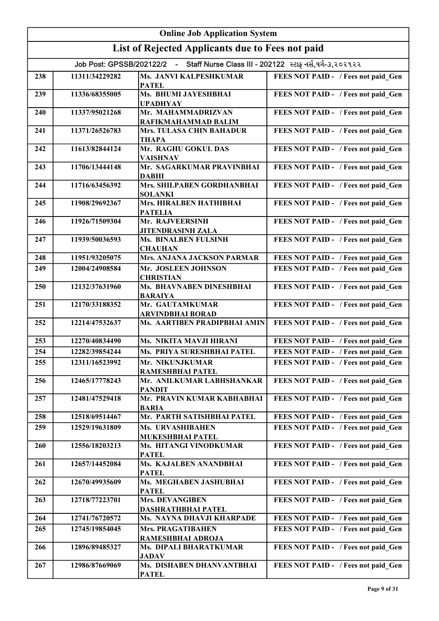|     |                | <b>Online Job Application System</b>                                               |                                     |
|-----|----------------|------------------------------------------------------------------------------------|-------------------------------------|
|     |                | List of Rejected Applicants due to Fees not paid                                   |                                     |
|     |                | Job Post: GPSSB/202122/2 - Staff Nurse Class III - 202122 સ્ટાફ નર્સ,વર્ગ-૩,૨૦૨૧૨૨ |                                     |
| 238 | 11311/34229282 | Ms. JANVI KALPESHKUMAR<br><b>PATEL</b>                                             | FEES NOT PAID - / Fees not paid Gen |
| 239 | 11336/68355005 | Ms. BHUMI JAYESHBHAI<br><b>UPADHYAY</b>                                            | FEES NOT PAID - / Fees not paid Gen |
| 240 | 11337/95021268 | Mr. MAHAMMADRIZVAN<br>RAFIKMAHAMMAD BALIM                                          | FEES NOT PAID - / Fees not paid Gen |
| 241 | 11371/26526783 | Mrs. TULASA CHIN BAHADUR<br><b>THAPA</b>                                           | FEES NOT PAID - / Fees not paid Gen |
| 242 | 11613/82844124 | Mr. RAGHU GOKUL DAS<br><b>VAISHNAV</b>                                             | FEES NOT PAID - / Fees not paid Gen |
| 243 | 11706/13444148 | Mr. SAGARKUMAR PRAVINBHAI<br><b>DABHI</b>                                          | FEES NOT PAID - / Fees not paid Gen |
| 244 | 11716/63456392 | Mrs. SHILPABEN GORDHANBHAI<br><b>SOLANKI</b>                                       | FEES NOT PAID - / Fees not paid Gen |
| 245 | 11908/29692367 | Mrs. HIRALBEN HATHIBHAI<br><b>PATELIA</b>                                          | FEES NOT PAID - / Fees not paid Gen |
| 246 | 11926/71509304 | Mr. RAJVEERSINH<br><b>JITENDRASINH ZALA</b>                                        | FEES NOT PAID - / Fees not paid Gen |
| 247 | 11939/50036593 | <b>Ms. BINALBEN FULSINH</b><br><b>CHAUHAN</b>                                      | FEES NOT PAID - / Fees not paid Gen |
| 248 | 11951/93205075 | Mrs. ANJANA JACKSON PARMAR                                                         | FEES NOT PAID - / Fees not paid Gen |
| 249 | 12004/24908584 | Mr. JOSLEEN JOHNSON<br><b>CHRISTIAN</b>                                            | FEES NOT PAID - / Fees not paid Gen |
| 250 | 12132/37631960 | Ms. BHAVNABEN DINESHBHAI<br><b>BARAIYA</b>                                         | FEES NOT PAID - / Fees not paid_Gen |
| 251 | 12170/33188352 | Mr. GAUTAMKUMAR<br><b>ARVINDBHAI BORAD</b>                                         | FEES NOT PAID - / Fees not paid Gen |
| 252 | 12214/47532637 | Ms. AARTIBEN PRADIPBHAI AMIN                                                       | FEES NOT PAID - / Fees not paid Gen |
| 253 | 12270/40834490 | Ms. NIKITA MAVJI HIRANI                                                            | FEES NOT PAID - / Fees not paid Gen |
| 254 | 12282/39854244 | Ms. PRIYA SURESHBHAI PATEL                                                         | FEES NOT PAID - / Fees not paid Gen |
| 255 | 12311/16523992 | Mr. NIKUNJKUMAR<br>RAMESHBHAI PATEL                                                | FEES NOT PAID - / Fees not paid Gen |
| 256 | 12465/17778243 | Mr. ANILKUMAR LABHSHANKAR<br><b>PANDIT</b>                                         | FEES NOT PAID - / Fees not paid_Gen |
| 257 | 12481/47529418 | Mr. PRAVIN KUMAR KABHABHAI<br><b>BARIA</b>                                         | FEES NOT PAID - / Fees not paid Gen |
| 258 | 12518/69514467 | Mr. PARTH SATISHBHAI PATEL                                                         | FEES NOT PAID - / Fees not paid Gen |
| 259 | 12529/19631809 | Ms. URVASHIBAHEN<br>MUKESHBHAI PATEL                                               | FEES NOT PAID - / Fees not paid Gen |
| 260 | 12556/18203213 | Ms. HITANGI VINODKUMAR<br><b>PATEL</b>                                             | FEES NOT PAID - / Fees not paid Gen |
| 261 | 12657/14452084 | Ms. KAJALBEN ANANDBHAI<br><b>PATEL</b>                                             | FEES NOT PAID - / Fees not paid Gen |
| 262 | 12670/49935609 | Ms. MEGHABEN JASHUBHAI<br><b>PATEL</b>                                             | FEES NOT PAID - / Fees not paid Gen |
| 263 | 12718/77223701 | <b>Mrs. DEVANGIBEN</b><br><b>DASHRATHBHAI PATEL</b>                                | FEES NOT PAID - / Fees not paid Gen |
| 264 | 12741/76720572 | Ms. NAYNA DHAVJI KHARPADE                                                          | FEES NOT PAID - / Fees not paid Gen |
| 265 | 12745/19854045 | <b>Mrs. PRAGATIBAHEN</b><br>RAMESHBHAI ADROJA                                      | FEES NOT PAID - / Fees not paid Gen |
| 266 | 12896/89485327 | Ms. DIPALI BHARATKUMAR<br><b>JADAV</b>                                             | FEES NOT PAID - / Fees not paid Gen |
| 267 | 12986/87669069 | Ms. DISHABEN DHANVANTBHAI<br><b>PATEL</b>                                          | FEES NOT PAID - / Fees not paid Gen |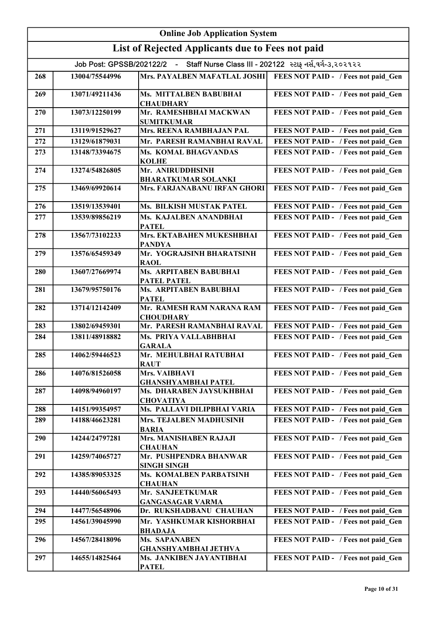| <b>Online Job Application System</b> |                |                                                                                    |                                     |
|--------------------------------------|----------------|------------------------------------------------------------------------------------|-------------------------------------|
|                                      |                | List of Rejected Applicants due to Fees not paid                                   |                                     |
|                                      |                | Job Post: GPSSB/202122/2 - Staff Nurse Class III - 202122 સ્ટાફ નર્સ,વર્ગ-૩,૨૦૨૧૨૨ |                                     |
| 268                                  | 13004/75544996 | Mrs. PAYALBEN MAFATLAL JOSHI                                                       | FEES NOT PAID - / Fees not paid Gen |
| 269                                  | 13071/49211436 | Ms. MITTALBEN BABUBHAI<br><b>CHAUDHARY</b>                                         | FEES NOT PAID - / Fees not paid Gen |
| 270                                  | 13073/12250199 | Mr. RAMESHBHAI MACKWAN<br><b>SUMITKUMAR</b>                                        | FEES NOT PAID - / Fees not paid Gen |
| 271                                  | 13119/91529627 | Mrs. REENA RAMBHAJAN PAL                                                           | FEES NOT PAID - / Fees not paid Gen |
| 272                                  | 13129/61879031 | Mr. PARESH RAMANBHAI RAVAL                                                         | FEES NOT PAID - / Fees not paid Gen |
| 273                                  | 13148/73394675 | Ms. KOMAL BHAGVANDAS<br><b>KOLHE</b>                                               | FEES NOT PAID - / Fees not paid Gen |
| 274                                  | 13274/54826805 | Mr. ANIRUDDHSINH<br><b>BHARATKUMAR SOLANKI</b>                                     | FEES NOT PAID - / Fees not paid Gen |
| 275                                  | 13469/69920614 | Mrs. FARJANABANU IRFAN GHORI                                                       | FEES NOT PAID - / Fees not paid Gen |
| 276                                  | 13519/13539401 | Ms. BILKISH MUSTAK PATEL                                                           | FEES NOT PAID - / Fees not paid Gen |
| 277                                  | 13539/89856219 | Ms. KAJALBEN ANANDBHAI<br><b>PATEL</b>                                             | FEES NOT PAID - / Fees not paid Gen |
| 278                                  | 13567/73102233 | Mrs. EKTABAHEN MUKESHBHAI<br><b>PANDYA</b>                                         | FEES NOT PAID - / Fees not paid Gen |
| 279                                  | 13576/65459349 | Mr. YOGRAJSINH BHARATSINH<br><b>RAOL</b>                                           | FEES NOT PAID - / Fees not paid Gen |
| 280                                  | 13607/27669974 | Ms. ARPITABEN BABUBHAI<br><b>PATEL PATEL</b>                                       | FEES NOT PAID - / Fees not paid Gen |
| 281                                  | 13679/95750176 | Ms. ARPITABEN BABUBHAI<br><b>PATEL</b>                                             | FEES NOT PAID - / Fees not paid Gen |
| 282                                  | 13714/12142409 | Mr. RAMESH RAM NARANA RAM<br><b>CHOUDHARY</b>                                      | FEES NOT PAID - / Fees not paid Gen |
| 283                                  | 13802/69459301 | Mr. PARESH RAMANBHAI RAVAL                                                         | FEES NOT PAID - / Fees not paid Gen |
| 284                                  | 13811/48918882 | Ms. PRIYA VALLABHBHAI<br><b>GARALA</b>                                             | FEES NOT PAID - / Fees not paid Gen |
| 285                                  | 14062/59446523 | Mr. MEHULBHAI RATUBHAI<br><b>RAUT</b>                                              | FEES NOT PAID - / Fees not paid Gen |
| 286                                  | 14076/81526058 | Mrs. VAIBHAVI<br><b>GHANSHYAMBHAI PATEL</b>                                        | FEES NOT PAID - / Fees not paid Gen |
| 287                                  | 14098/94960197 | Ms. DHARABEN JAYSUKHBHAI<br><b>CHOVATIYA</b>                                       | FEES NOT PAID - / Fees not paid Gen |
| 288                                  | 14151/99354957 | Ms. PALLAVI DILIPBHAI VARIA                                                        | FEES NOT PAID - / Fees not paid Gen |
| 289                                  | 14188/46623281 | Mrs. TEJALBEN MADHUSINH<br><b>BARIA</b>                                            | FEES NOT PAID - / Fees not paid Gen |
| 290                                  | 14244/24797281 | <b>Mrs. MANISHABEN RAJAJI</b><br><b>CHAUHAN</b>                                    | FEES NOT PAID - / Fees not paid Gen |
| 291                                  | 14259/74065727 | Mr. PUSHPENDRA BHANWAR<br><b>SINGH SINGH</b>                                       | FEES NOT PAID - / Fees not paid Gen |
| 292                                  | 14385/89053325 | Ms. KOMALBEN PARBATSINH<br><b>CHAUHAN</b>                                          | FEES NOT PAID - / Fees not paid Gen |
| 293                                  | 14440/56065493 | Mr. SANJEETKUMAR<br><b>GANGASAGAR VARMA</b>                                        | FEES NOT PAID - / Fees not paid Gen |
| 294                                  | 14477/56548906 | Dr. RUKSHADBANU CHAUHAN                                                            | FEES NOT PAID - / Fees not paid Gen |
| 295                                  | 14561/39045990 | Mr. YASHKUMAR KISHORBHAI<br><b>BHADAJA</b>                                         | FEES NOT PAID - / Fees not paid Gen |
| 296                                  | 14567/28418096 | <b>Ms. SAPANABEN</b><br><b>GHANSHYAMBHAI JETHVA</b>                                | FEES NOT PAID - / Fees not paid Gen |
| 297                                  | 14655/14825464 | Ms. JANKIBEN JAYANTIBHAI<br><b>PATEL</b>                                           | FEES NOT PAID - / Fees not paid Gen |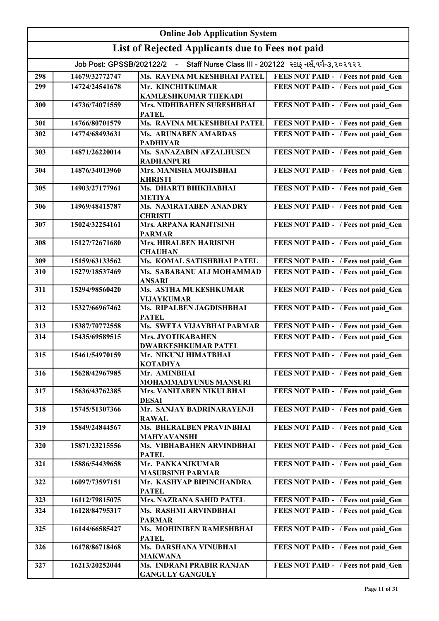| <b>Online Job Application System</b>             |                                                                                     |                                                            |                                     |  |
|--------------------------------------------------|-------------------------------------------------------------------------------------|------------------------------------------------------------|-------------------------------------|--|
| List of Rejected Applicants due to Fees not paid |                                                                                     |                                                            |                                     |  |
|                                                  | Job Post: GPSSB/202122/2 - Staff Nurse Class III - 202122  સ્ટાફ નર્સ,વર્ગ-૩,૨૦૨૧૨૨ |                                                            |                                     |  |
| 298                                              | 14679/32772747                                                                      | Ms. RAVINA MUKESHBHAI PATEL                                | FEES NOT PAID - / Fees not paid Gen |  |
| 299                                              | 14724/24541678                                                                      | Mr. KINCHITKUMAR<br><b>KAMLESHKUMAR THEKADI</b>            | FEES NOT PAID - / Fees not paid Gen |  |
| 300                                              | 14736/74071559                                                                      | Mrs. NIDHIBAHEN SURESHBHAI<br><b>PATEL</b>                 | FEES NOT PAID - / Fees not paid Gen |  |
| 301                                              | 14766/80701579                                                                      | Ms. RAVINA MUKESHBHAI PATEL                                | FEES NOT PAID - / Fees not paid Gen |  |
| 302                                              | 14774/68493631                                                                      | Ms. ARUNABEN AMARDAS<br><b>PADHIYAR</b>                    | FEES NOT PAID - / Fees not paid Gen |  |
| 303                                              | 14871/26220014                                                                      | Ms. SANAZABIN AFZALHUSEN<br><b>RADHANPURI</b>              | FEES NOT PAID - / Fees not paid_Gen |  |
| 304                                              | 14876/34013960                                                                      | Mrs. MANISHA MOJISBHAI<br><b>KHRISTI</b>                   | FEES NOT PAID - / Fees not paid_Gen |  |
| 305                                              | 14903/27177961                                                                      | Ms. DHARTI BHIKHABHAI<br><b>METIYA</b>                     | FEES NOT PAID - / Fees not paid_Gen |  |
| 306                                              | 14969/48415787                                                                      | Ms. NAMRATABEN ANANDRY<br><b>CHRISTI</b>                   | FEES NOT PAID - / Fees not paid Gen |  |
| 307                                              | 15024/32254161                                                                      | Mrs. ARPANA RANJITSINH<br><b>PARMAR</b>                    | FEES NOT PAID - / Fees not paid Gen |  |
| 308                                              | 15127/72671680                                                                      | Mrs. HIRALBEN HARISINH<br><b>CHAUHAN</b>                   | FEES NOT PAID - / Fees not paid Gen |  |
| 309                                              | 15159/63133562                                                                      | Ms. KOMAL SATISHBHAI PATEL                                 | FEES NOT PAID - / Fees not paid Gen |  |
| 310                                              | 15279/18537469                                                                      | Ms. SABABANU ALI MOHAMMAD<br><b>ANSARI</b>                 | FEES NOT PAID - / Fees not paid_Gen |  |
| 311                                              | 15294/98560420                                                                      | Ms. ASTHA MUKESHKUMAR<br><b>VIJAYKUMAR</b>                 | FEES NOT PAID - / Fees not paid Gen |  |
| 312                                              | 15327/66967462                                                                      | Ms. RIPALBEN JAGDISHBHAI<br><b>PATEL</b>                   | FEES NOT PAID - / Fees not paid Gen |  |
| 313                                              | 15387/70772558                                                                      | Ms. SWETA VIJAYBHAI PARMAR                                 | FEES NOT PAID - / Fees not paid Gen |  |
| 314                                              | 15435/69589515                                                                      | Mrs. JYOTIKABAHEN<br><b>DWARKESHKUMAR PATEL</b>            | FEES NOT PAID - / Fees not paid Gen |  |
| 315                                              | 15461/54970159                                                                      | Mr. NIKUNJ HIMATBHAI<br><b>KOTADIYA</b>                    | FEES NOT PAID - / Fees not paid Gen |  |
| 316                                              | 15628/42967985                                                                      | Mr. AMINBHAI<br>MOHAMMADYUNUS MANSURI                      | FEES NOT PAID - / Fees not paid Gen |  |
| 317                                              | 15636/43762385                                                                      | Mrs. VANITABEN NIKULBHAI<br><b>DESAI</b>                   | FEES NOT PAID - / Fees not paid Gen |  |
| 318                                              | 15745/51307366                                                                      | Mr. SANJAY BADRINARAYENJI<br><b>RAWAL</b>                  | FEES NOT PAID - / Fees not paid Gen |  |
| 319                                              | 15849/24844567                                                                      | Ms. BHERALBEN PRAVINBHAI<br><b>MAHYAVANSHI</b>             | FEES NOT PAID - / Fees not paid Gen |  |
| 320                                              | 15871/23215556                                                                      | Ms. VIBHABAHEN ARVINDBHAI<br><b>PATEL</b>                  | FEES NOT PAID - / Fees not paid Gen |  |
| 321                                              | 15886/54439658                                                                      | Mr. PANKANJKUMAR<br><b>MASURSINH PARMAR</b>                | FEES NOT PAID - / Fees not paid Gen |  |
| 322                                              | 16097/73597151                                                                      | Mr. KASHYAP BIPINCHANDRA<br><b>PATEL</b>                   | FEES NOT PAID - / Fees not paid Gen |  |
| 323                                              | 16112/79815075                                                                      | Mrs. NAZRANA SAHID PATEL                                   | FEES NOT PAID - / Fees not paid Gen |  |
| 324                                              | 16128/84795317                                                                      | Ms. RASHMI ARVINDBHAI<br><b>PARMAR</b>                     | FEES NOT PAID - / Fees not paid Gen |  |
| 325                                              | 16144/66585427                                                                      | Ms. MOHINIBEN RAMESHBHAI<br><b>PATEL</b>                   | FEES NOT PAID - / Fees not paid Gen |  |
| 326                                              | 16178/86718468                                                                      | Ms. DARSHANA VINUBHAI<br><b>MAKWANA</b>                    | FEES NOT PAID - / Fees not paid Gen |  |
| 327                                              | 16213/20252044                                                                      | <b>Ms. INDRANI PRABIR RANJAN</b><br><b>GANGULY GANGULY</b> | FEES NOT PAID - / Fees not paid_Gen |  |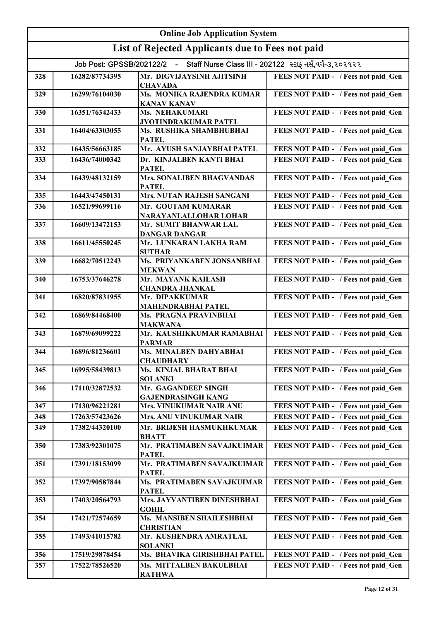|     | <b>Online Job Application System</b>                                               |                                                  |                                     |  |
|-----|------------------------------------------------------------------------------------|--------------------------------------------------|-------------------------------------|--|
|     |                                                                                    | List of Rejected Applicants due to Fees not paid |                                     |  |
|     | Job Post: GPSSB/202122/2 - Staff Nurse Class III - 202122 સ્ટાફ નર્સ,વર્ગ-૩,૨૦૨૧૨૨ |                                                  |                                     |  |
| 328 | 16282/87734395                                                                     | Mr. DIGVIJAYSINH AJITSINH<br><b>CHAVADA</b>      | FEES NOT PAID - / Fees not paid Gen |  |
| 329 | 16299/76104030                                                                     | Ms. MONIKA RAJENDRA KUMAR<br><b>KANAV KANAV</b>  | FEES NOT PAID - / Fees not paid Gen |  |
| 330 | 16351/76342433                                                                     | Ms. NEHAKUMARI<br>JYOTINDRAKUMAR PATEL           | FEES NOT PAID - / Fees not paid Gen |  |
| 331 | 16404/63303055                                                                     | Ms. RUSHIKA SHAMBHUBHAI<br><b>PATEL</b>          | FEES NOT PAID - / Fees not paid Gen |  |
| 332 | 16435/56663185                                                                     | Mr. AYUSH SANJAYBHAI PATEL                       | FEES NOT PAID - / Fees not paid Gen |  |
| 333 | 16436/74000342                                                                     | Dr. KINJALBEN KANTI BHAI<br><b>PATEL</b>         | FEES NOT PAID - / Fees not paid Gen |  |
| 334 | 16439/48132159                                                                     | Mrs. SONALIBEN BHAGVANDAS<br><b>PATEL</b>        | FEES NOT PAID - / Fees not paid Gen |  |
| 335 | 16443/47450131                                                                     | Mrs. NUTAN RAJESH SANGANI                        | FEES NOT PAID - / Fees not paid Gen |  |
| 336 | 16521/99699116                                                                     | Mr. GOUTAM KUMARAR<br>NARAYANLALLOHAR LOHAR      | FEES NOT PAID - / Fees not paid Gen |  |
| 337 | 16609/13472153                                                                     | Mr. SUMIT BHANWAR LAL<br><b>DANGAR DANGAR</b>    | FEES NOT PAID - / Fees not paid Gen |  |
| 338 | 16611/45550245                                                                     | Mr. LUNKARAN LAKHA RAM<br><b>SUTHAR</b>          | FEES NOT PAID - / Fees not paid Gen |  |
| 339 | 16682/70512243                                                                     | Ms. PRIYANKABEN JONSANBHAI<br><b>MEKWAN</b>      | FEES NOT PAID - / Fees not paid Gen |  |
| 340 | 16753/37646278                                                                     | Mr. MAYANK KAILASH<br><b>CHANDRA JHANKAL</b>     | FEES NOT PAID - / Fees not paid Gen |  |
| 341 | 16820/87831955                                                                     | Mr. DIPAKKUMAR<br><b>MAHENDRABHAI PATEL</b>      | FEES NOT PAID - / Fees not paid Gen |  |
| 342 | 16869/84468400                                                                     | Ms. PRAGNA PRAVINBHAI<br><b>MAKWANA</b>          | FEES NOT PAID - / Fees not paid Gen |  |
| 343 | 16879/69099222                                                                     | Mr. KAUSHIKKUMAR RAMABHAI<br><b>PARMAR</b>       | FEES NOT PAID - / Fees not paid Gen |  |
| 344 | 16896/81236601                                                                     | Ms. MINALBEN DAHYABHAI<br><b>CHAUDHARY</b>       | FEES NOT PAID - / Fees not paid Gen |  |
| 345 | 16995/58439813                                                                     | Ms. KINJAL BHARAT BHAI<br><b>SOLANKI</b>         | FEES NOT PAID - / Fees not paid Gen |  |
| 346 | 17110/32872532                                                                     | Mr. GAGANDEEP SINGH<br><b>GAJENDRASINGH KANG</b> | FEES NOT PAID - / Fees not paid Gen |  |
| 347 | 17130/96221281                                                                     | Mrs. VINUKUMAR NAIR ANU                          | FEES NOT PAID - / Fees not paid Gen |  |
| 348 | 17263/57423626                                                                     | <b>Mrs. ANU VINUKUMAR NAIR</b>                   | FEES NOT PAID - / Fees not paid Gen |  |
| 349 | 17382/44320100                                                                     | Mr. BRIJESH HASMUKHKUMAR<br><b>BHATT</b>         | FEES NOT PAID - / Fees not paid Gen |  |
| 350 | 17383/92301075                                                                     | Mr. PRATIMABEN SAVAJKUIMAR<br><b>PATEL</b>       | FEES NOT PAID - / Fees not paid Gen |  |
| 351 | 17391/18153099                                                                     | Mr. PRATIMABEN SAVAJKUIMAR<br><b>PATEL</b>       | FEES NOT PAID - / Fees not paid Gen |  |
| 352 | 17397/90587844                                                                     | Ms. PRATIMABEN SAVAJKUIMAR<br><b>PATEL</b>       | FEES NOT PAID - / Fees not paid Gen |  |
| 353 | 17403/20564793                                                                     | Mrs. JAYVANTIBEN DINESHBHAI<br><b>GOHIL</b>      | FEES NOT PAID - / Fees not paid Gen |  |
| 354 | 17421/72574659                                                                     | Ms. MANSIBEN SHAILESHBHAI<br><b>CHRISTIAN</b>    | FEES NOT PAID - / Fees not paid Gen |  |
| 355 | 17493/41015782                                                                     | Mr. KUSHENDRA AMRATLAL<br><b>SOLANKI</b>         | FEES NOT PAID - / Fees not paid Gen |  |
| 356 | 17519/29878454                                                                     | Ms. BHAVIKA GIRISHBHAI PATEL                     | FEES NOT PAID - / Fees not paid Gen |  |
| 357 | 17522/78526520                                                                     | Ms. MITTALBEN BAKULBHAI<br><b>RATHWA</b>         | FEES NOT PAID - / Fees not paid Gen |  |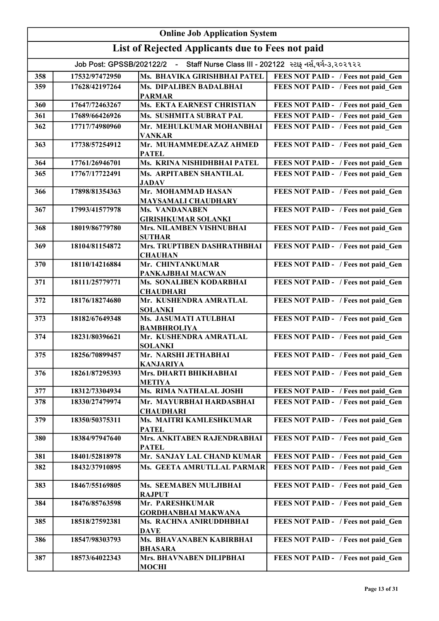|     | <b>Online Job Application System</b> |                                                                                    |                                     |
|-----|--------------------------------------|------------------------------------------------------------------------------------|-------------------------------------|
|     |                                      | List of Rejected Applicants due to Fees not paid                                   |                                     |
|     |                                      | Job Post: GPSSB/202122/2 - Staff Nurse Class III - 202122 સ્ટાફ નર્સ,વર્ગ-૩,૨૦૨૧૨૨ |                                     |
| 358 | 17532/97472950                       | Ms. BHAVIKA GIRISHBHAI PATEL                                                       | FEES NOT PAID - / Fees not paid Gen |
| 359 | 17628/42197264                       | Ms. DIPALIBEN BADALBHAI                                                            | FEES NOT PAID - / Fees not paid Gen |
| 360 | 17647/72463267                       | <b>PARMAR</b><br>Ms. EKTA EARNEST CHRISTIAN                                        | FEES NOT PAID - / Fees not paid Gen |
| 361 | 17689/66426926                       | Ms. SUSHMITA SUBRAT PAL                                                            | FEES NOT PAID - / Fees not paid Gen |
| 362 | 17717/74980960                       | Mr. MEHULKUMAR MOHANBHAI                                                           | FEES NOT PAID - / Fees not paid Gen |
| 363 | 17738/57254912                       | <b>VANKAR</b><br>Mr. MUHAMMEDEAZAZ AHMED                                           | FEES NOT PAID - / Fees not paid_Gen |
| 364 | 17761/26946701                       | <b>PATEL</b><br>Ms. KRINA NISHIDHBHAI PATEL                                        | FEES NOT PAID - / Fees not paid Gen |
| 365 | 17767/17722491                       | <b>Ms. ARPITABEN SHANTILAL</b>                                                     | FEES NOT PAID - / Fees not paid Gen |
|     |                                      | <b>JADAV</b>                                                                       |                                     |
| 366 | 17898/81354363                       | Mr. MOHAMMAD HASAN<br><b>MAYSAMALI CHAUDHARY</b>                                   | FEES NOT PAID - / Fees not paid Gen |
| 367 | 17993/41577978                       | <b>Ms. VANDANABEN</b><br><b>GIRISHKUMAR SOLANKI</b>                                | FEES NOT PAID - / Fees not paid Gen |
| 368 | 18019/86779780                       | Mrs. NILAMBEN VISHNUBHAI<br><b>SUTHAR</b>                                          | FEES NOT PAID - / Fees not paid Gen |
| 369 | 18104/81154872                       | Mrs. TRUPTIBEN DASHRATHBHAI<br><b>CHAUHAN</b>                                      | FEES NOT PAID - / Fees not paid Gen |
| 370 | 18110/14216884                       | Mr. CHINTANKUMAR<br>PANKAJBHAI MACWAN                                              | FEES NOT PAID - / Fees not paid Gen |
| 371 | 18111/25779771                       | Ms. SONALIBEN KODARBHAI<br><b>CHAUDHARI</b>                                        | FEES NOT PAID - / Fees not paid Gen |
| 372 | 18176/18274680                       | Mr. KUSHENDRA AMRATLAL<br><b>SOLANKI</b>                                           | FEES NOT PAID - / Fees not paid Gen |
| 373 | 18182/67649348                       | Ms. JASUMATI ATULBHAI<br><b>BAMBHROLIYA</b>                                        | FEES NOT PAID - / Fees not paid_Gen |
| 374 | 18231/80396621                       | Mr. KUSHENDRA AMRATLAL<br><b>SOLANKI</b>                                           | FEES NOT PAID - / Fees not paid_Gen |
| 375 | 18256/70899457                       | Mr. NARSHI JETHABHAI<br><b>KANJARIYA</b>                                           | FEES NOT PAID - / Fees not paid Gen |
| 376 | 18261/87295393                       | Mrs. DHARTI BHIKHABHAI<br><b>METIYA</b>                                            | FEES NOT PAID - / Fees not paid Gen |
| 377 | 18312/73304934                       | Ms. RIMA NATHALAL JOSHI                                                            | FEES NOT PAID - / Fees not paid Gen |
| 378 | 18330/27479974                       | Mr. MAYURBHAI HARDASBHAI<br><b>CHAUDHARI</b>                                       | FEES NOT PAID - / Fees not paid Gen |
| 379 | 18350/50375311                       | Ms. MAITRI KAMLESHKUMAR<br><b>PATEL</b>                                            | FEES NOT PAID - / Fees not paid Gen |
| 380 | 18384/97947640                       | Mrs. ANKITABEN RAJENDRABHAI<br><b>PATEL</b>                                        | FEES NOT PAID - / Fees not paid Gen |
| 381 | 18401/52818978                       | Mr. SANJAY LAL CHAND KUMAR                                                         | FEES NOT PAID - / Fees not paid Gen |
| 382 | 18432/37910895                       | Ms. GEETA AMRUTLLAL PARMAR                                                         | FEES NOT PAID - / Fees not paid Gen |
| 383 | 18467/55169805                       | Ms. SEEMABEN MULJIBHAI<br><b>RAJPUT</b>                                            | FEES NOT PAID - / Fees not paid Gen |
| 384 | 18476/85763598                       | Mr. PARESHKUMAR<br><b>GORDHANBHAI MAKWANA</b>                                      | FEES NOT PAID - / Fees not paid Gen |
| 385 | 18518/27592381                       | Ms. RACHNA ANIRUDDHBHAI<br><b>DAVE</b>                                             | FEES NOT PAID - / Fees not paid Gen |
| 386 | 18547/98303793                       | Ms. BHAVANABEN KABIRBHAI<br><b>BHASARA</b>                                         | FEES NOT PAID - / Fees not paid Gen |
| 387 | 18573/64022343                       | Mrs. BHAVNABEN DILIPBHAI<br><b>MOCHI</b>                                           | FEES NOT PAID - / Fees not paid Gen |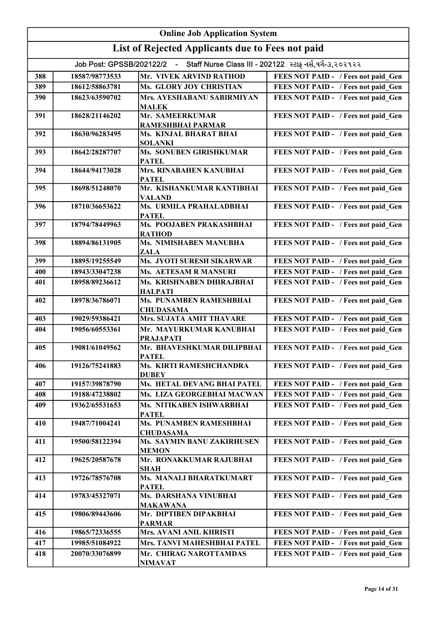|     | <b>Online Job Application System</b>                                                  |                                                    |                                     |  |
|-----|---------------------------------------------------------------------------------------|----------------------------------------------------|-------------------------------------|--|
|     |                                                                                       | List of Rejected Applicants due to Fees not paid   |                                     |  |
|     | - Staff Nurse Class III - 202122 સ્ટાફ નર્સ,વર્ગ-૩,૨૦૨૧૨૨<br>Job Post: GPSSB/202122/2 |                                                    |                                     |  |
| 388 | 18587/98773533                                                                        | Mr. VIVEK ARVIND RATHOD                            | FEES NOT PAID - / Fees not paid Gen |  |
| 389 | 18612/58863781                                                                        | Ms. GLORY JOY CHRISTIAN                            | FEES NOT PAID - / Fees not paid Gen |  |
| 390 | 18623/63590702                                                                        | Mrs. AYESHABANU SABIRMIYAN                         | FEES NOT PAID - / Fees not paid Gen |  |
|     |                                                                                       | <b>MALEK</b>                                       |                                     |  |
| 391 | 18628/21146202                                                                        | Mr. SAMEERKUMAR<br>RAMESHBHAI PARMAR               | FEES NOT PAID - / Fees not paid_Gen |  |
| 392 | 18630/96283495                                                                        | Ms. KINJAL BHARAT BHAI                             | FEES NOT PAID - / Fees not paid_Gen |  |
| 393 | 18642/28287707                                                                        | <b>SOLANKI</b><br>Ms. SONUBEN GIRISHKUMAR          | FEES NOT PAID - / Fees not paid_Gen |  |
|     |                                                                                       | <b>PATEL</b>                                       |                                     |  |
| 394 | 18644/94173028                                                                        | Mrs. RINABAHEN KANUBHAI<br><b>PATEL</b>            | FEES NOT PAID - / Fees not paid Gen |  |
| 395 | 18698/51248070                                                                        | Mr. KISHANKUMAR KANTIBHAI<br><b>VALAND</b>         | FEES NOT PAID - / Fees not paid Gen |  |
| 396 | 18710/36653622                                                                        | Ms. URMILA PRAHALADBHAI<br><b>PATEL</b>            | FEES NOT PAID - / Fees not paid_Gen |  |
| 397 | 18794/78449963                                                                        | Ms. POOJABEN PRAKASHBHAI<br><b>RATHOD</b>          | FEES NOT PAID - / Fees not paid Gen |  |
| 398 | 18894/86131905                                                                        | Ms. NIMISHABEN MANUBHA<br>ZALA                     | FEES NOT PAID - / Fees not paid Gen |  |
| 399 | 18895/19255549                                                                        | Ms. JYOTI SURESH SIKARWAR                          | FEES NOT PAID - / Fees not paid Gen |  |
| 400 | 18943/33047238                                                                        | Ms. AETESAM R MANSURI                              | FEES NOT PAID - / Fees not paid Gen |  |
| 401 | 18958/89236612                                                                        | Ms. KRISHNABEN DHIRAJBHAI<br><b>HALPATI</b>        | FEES NOT PAID - / Fees not paid Gen |  |
| 402 | 18978/36786071                                                                        | <b>Ms. PUNAMBEN RAMESHBHAI</b><br><b>CHUDASAMA</b> | FEES NOT PAID - / Fees not paid_Gen |  |
| 403 | 19029/59386421                                                                        | <b>Mrs. SUJATA AMIT THAVARE</b>                    | FEES NOT PAID - / Fees not paid Gen |  |
| 404 | 19056/60553361                                                                        | Mr. MAYURKUMAR KANUBHAI<br><b>PRAJAPATI</b>        | FEES NOT PAID - / Fees not paid_Gen |  |
| 405 | 19081/61049562                                                                        | Mr. BHAVESHKUMAR DILIPBHAI<br><b>PATEL</b>         | FEES NOT PAID - / Fees not paid Gen |  |
| 406 | 19126/75241883                                                                        | Ms. KIRTI RAMESHCHANDRA<br><b>DUBEY</b>            | FEES NOT PAID - / Fees not paid Gen |  |
| 407 | 19157/39878790                                                                        | Ms. HETAL DEVANG BHAI PATEL                        | FEES NOT PAID - / Fees not paid Gen |  |
| 408 | 19188/47238802                                                                        | Ms. LIZA GEORGEBHAI MACWAN                         | FEES NOT PAID - / Fees not paid Gen |  |
| 409 | 19362/65531653                                                                        | Ms. NITIKABEN ISHWARBHAI<br><b>PATEL</b>           | FEES NOT PAID - / Fees not paid Gen |  |
| 410 | 19487/71004241                                                                        | Ms. PUNAMBEN RAMESHBHAI<br><b>CHUDASAMA</b>        | FEES NOT PAID - / Fees not paid Gen |  |
| 411 | 19500/58122394                                                                        | Ms. SAYMIN BANU ZAKIRHUSEN<br><b>MEMON</b>         | FEES NOT PAID - / Fees not paid Gen |  |
| 412 | 19625/20587678                                                                        | Mr. RONAKKUMAR RAJUBHAI<br><b>SHAH</b>             | FEES NOT PAID - / Fees not paid Gen |  |
| 413 | 19726/78576708                                                                        | Ms. MANALI BHARATKUMART<br><b>PATEL</b>            | FEES NOT PAID - / Fees not paid Gen |  |
| 414 | 19783/45327071                                                                        | Ms. DARSHANA VINUBHAI<br><b>MAKAWANA</b>           | FEES NOT PAID - / Fees not paid Gen |  |
| 415 | 19806/89443606                                                                        | Mr. DIPTIBEN DIPAKBHAI<br><b>PARMAR</b>            | FEES NOT PAID - / Fees not paid Gen |  |
| 416 | 19865/72336555                                                                        | Mrs. AVANI ANIL KHRISTI                            | FEES NOT PAID - / Fees not paid Gen |  |
| 417 | 19985/51084922                                                                        | Mrs. TANVI MAHESHBHAI PATEL                        | FEES NOT PAID - / Fees not paid Gen |  |
| 418 | 20070/33076899                                                                        | Mr. CHIRAG NAROTTAMDAS<br><b>NIMAVAT</b>           | FEES NOT PAID - / Fees not paid Gen |  |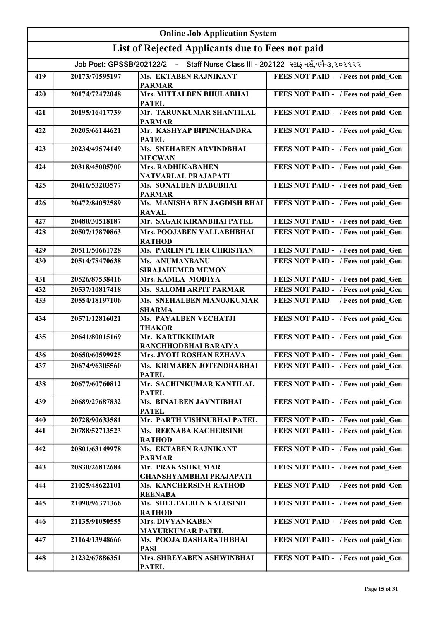|     | <b>Online Job Application System</b> |                                                                                    |                                     |  |
|-----|--------------------------------------|------------------------------------------------------------------------------------|-------------------------------------|--|
|     |                                      | List of Rejected Applicants due to Fees not paid                                   |                                     |  |
|     |                                      | Job Post: GPSSB/202122/2 - Staff Nurse Class III - 202122 સ્ટાફ નર્સ,વર્ગ-૩,૨૦૨૧૨૨ |                                     |  |
| 419 | 20173/70595197                       | Ms. EKTABEN RAJNIKANT                                                              | FEES NOT PAID - / Fees not paid Gen |  |
|     |                                      | <b>PARMAR</b>                                                                      |                                     |  |
| 420 | 20174/72472048                       | Mrs. MITTALBEN BHULABHAI<br><b>PATEL</b>                                           | FEES NOT PAID - / Fees not paid Gen |  |
| 421 | 20195/16417739                       | Mr. TARUNKUMAR SHANTILAL<br><b>PARMAR</b>                                          | FEES NOT PAID - / Fees not paid Gen |  |
| 422 | 20205/66144621                       | Mr. KASHYAP BIPINCHANDRA                                                           | FEES NOT PAID - / Fees not paid Gen |  |
| 423 | 20234/49574149                       | <b>PATEL</b><br>Ms. SNEHABEN ARVINDBHAI                                            | FEES NOT PAID - / Fees not paid Gen |  |
| 424 | 20318/45005700                       | <b>MECWAN</b><br>Mrs. RADHIKABAHEN                                                 | FEES NOT PAID - / Fees not paid Gen |  |
| 425 | 20416/53203577                       | NATVARLAL PRAJAPATI<br><b>Ms. SONALBEN BABUBHAI</b>                                | FEES NOT PAID - / Fees not paid Gen |  |
|     |                                      | <b>PARMAR</b><br>Ms. MANISHA BEN JAGDISH BHAI                                      |                                     |  |
| 426 | 20472/84052589                       | <b>RAVAL</b>                                                                       | FEES NOT PAID - / Fees not paid Gen |  |
| 427 | 20480/30518187                       | Mr. SAGAR KIRANBHAI PATEL                                                          | FEES NOT PAID - / Fees not paid Gen |  |
| 428 | 20507/17870863                       | Mrs. POOJABEN VALLABHBHAI<br><b>RATHOD</b>                                         | FEES NOT PAID - / Fees not paid Gen |  |
| 429 | 20511/50661728                       | <b>Ms. PARLIN PETER CHRISTIAN</b>                                                  | FEES NOT PAID - / Fees not paid Gen |  |
| 430 | 20514/78470638                       | Ms. ANUMANBANU<br><b>SIRAJAHEMED MEMON</b>                                         | FEES NOT PAID - / Fees not paid Gen |  |
| 431 | 20526/87538416                       | Mrs. KAMLA MODIYA                                                                  | FEES NOT PAID - / Fees not paid Gen |  |
| 432 | 20537/10817418                       | <b>Ms. SALOMI ARPIT PARMAR</b>                                                     | FEES NOT PAID - / Fees not paid Gen |  |
| 433 | 20554/18197106                       | Ms. SNEHALBEN MANOJKUMAR<br><b>SHARMA</b>                                          | FEES NOT PAID - / Fees not paid Gen |  |
| 434 | 20571/12816021                       | Ms. PAYALBEN VECHATJI<br><b>THAKOR</b>                                             | FEES NOT PAID - / Fees not paid Gen |  |
| 435 | 20641/80015169                       | Mr. KARTIKKUMAR                                                                    | FEES NOT PAID - / Fees not paid Gen |  |
| 436 | 20650/60599925                       | RANCHHODBHAI BARAIYA<br>Mrs. JYOTI ROSHAN EZHAVA                                   | FEES NOT PAID - / Fees not paid_Gen |  |
| 437 | 20674/96305560                       | Ms. KRIMABEN JOTENDRABHAI                                                          | FEES NOT PAID - / Fees not paid Gen |  |
|     |                                      | <b>PATEL</b>                                                                       |                                     |  |
| 438 | 20677/60760812                       | Mr. SACHINKUMAR KANTILAL<br><b>PATEL</b>                                           | FEES NOT PAID - / Fees not paid Gen |  |
| 439 | 20689/27687832                       | Ms. BINALBEN JAYNTIBHAI<br><b>PATEL</b>                                            | FEES NOT PAID - / Fees not paid Gen |  |
| 440 | 20728/90633581                       | Mr. PARTH VISHNUBHAI PATEL                                                         | FEES NOT PAID - / Fees not paid Gen |  |
| 441 | 20788/52713523                       | Ms. REENABA KACHERSINH<br><b>RATHOD</b>                                            | FEES NOT PAID - / Fees not paid Gen |  |
| 442 | 20801/63149978                       | Ms. EKTABEN RAJNIKANT<br><b>PARMAR</b>                                             | FEES NOT PAID - / Fees not paid Gen |  |
| 443 | 20830/26812684                       | Mr. PRAKASHKUMAR<br><b>GHANSHYAMBHAI PRAJAPATI</b>                                 | FEES NOT PAID - / Fees not paid Gen |  |
| 444 | 21025/48622101                       | <b>Ms. KANCHERSINH RATHOD</b><br><b>REENABA</b>                                    | FEES NOT PAID - / Fees not paid Gen |  |
| 445 | 21090/96371366                       | Ms. SHEETALBEN KALUSINH<br><b>RATHOD</b>                                           | FEES NOT PAID - / Fees not paid Gen |  |
| 446 | 21135/91050555                       | Mrs. DIVYANKABEN                                                                   | FEES NOT PAID - / Fees not paid_Gen |  |
| 447 | 21164/13948666                       | <b>MAYURKUMAR PATEL</b><br>Ms. POOJA DASHARATHBHAI                                 | FEES NOT PAID - / Fees not paid Gen |  |
| 448 | 21232/67886351                       | <b>PASI</b><br>Mrs. SHREYABEN ASHWINBHAI<br><b>PATEL</b>                           | FEES NOT PAID - / Fees not paid Gen |  |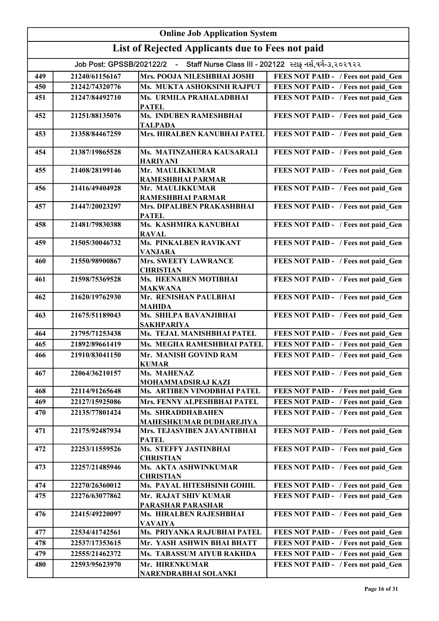| <b>Online Job Application System</b> |                                                                                    |                                                |                                     |  |
|--------------------------------------|------------------------------------------------------------------------------------|------------------------------------------------|-------------------------------------|--|
|                                      | List of Rejected Applicants due to Fees not paid                                   |                                                |                                     |  |
|                                      | Job Post: GPSSB/202122/2 - Staff Nurse Class III - 202122 સ્ટાફ નર્સ,વર્ગ-૩,૨૦૨૧૨૨ |                                                |                                     |  |
| 449                                  | 21240/61156167                                                                     | Mrs. POOJA NILESHBHAI JOSHI                    | FEES NOT PAID - / Fees not paid Gen |  |
| 450                                  | 21242/74320776                                                                     | Ms. MUKTA ASHOKSINH RAJPUT                     | FEES NOT PAID - / Fees not paid_Gen |  |
| 451                                  | 21247/84492710                                                                     | <b>Ms. URMILA PRAHALADBHAI</b><br><b>PATEL</b> | FEES NOT PAID - / Fees not paid Gen |  |
| 452                                  | 21251/88135076                                                                     | Ms. INDUBEN RAMESHBHAI<br><b>TALPADA</b>       | FEES NOT PAID - / Fees not paid_Gen |  |
| 453                                  | 21358/84467259                                                                     | Mrs. HIRALBEN KANUBHAI PATEL                   | FEES NOT PAID - / Fees not paid_Gen |  |
| 454                                  | 21387/19865528                                                                     | Ms. MATINZAHERA KAUSARALI<br><b>HARIYANI</b>   | FEES NOT PAID - / Fees not paid_Gen |  |
| 455                                  | 21408/28199146                                                                     | Mr. MAULIKKUMAR<br><b>RAMESHBHAI PARMAR</b>    | FEES NOT PAID - / Fees not paid Gen |  |
| 456                                  | 21416/49404928                                                                     | Mr. MAULIKKUMAR<br><b>RAMESHBHAI PARMAR</b>    | FEES NOT PAID - / Fees not paid Gen |  |
| 457                                  | 21447/20023297                                                                     | Mrs. DIPALIBEN PRAKASHBHAI<br><b>PATEL</b>     | FEES NOT PAID - / Fees not paid Gen |  |
| 458                                  | 21481/79830388                                                                     | Ms. KASHMIRA KANUBHAI<br><b>RAVAL</b>          | FEES NOT PAID - / Fees not paid Gen |  |
| 459                                  | 21505/30046732                                                                     | Ms. PINKALBEN RAVIKANT<br><b>VANJARA</b>       | FEES NOT PAID - / Fees not paid Gen |  |
| 460                                  | 21550/98900867                                                                     | Mrs. SWEETY LAWRANCE<br><b>CHRISTIAN</b>       | FEES NOT PAID - / Fees not paid Gen |  |
| 461                                  | 21598/75369528                                                                     | Ms. HEENABEN MOTIBHAI<br><b>MAKWANA</b>        | FEES NOT PAID - / Fees not paid Gen |  |
| 462                                  | 21620/19762930                                                                     | Mr. RENISHAN PAULBHAI<br><b>MAHIDA</b>         | FEES NOT PAID - / Fees not paid Gen |  |
| 463                                  | 21675/51189043                                                                     | Ms. SHILPA BAVANJIBHAI<br><b>SAKHPARIYA</b>    | FEES NOT PAID - / Fees not paid Gen |  |
| 464                                  | 21795/71253438                                                                     | Ms. TEJAL MANISHBHAI PATEL                     | FEES NOT PAID - / Fees not paid Gen |  |
| 465                                  | 21892/89661419                                                                     | Ms. MEGHA RAMESHBHAI PATEL                     | FEES NOT PAID - / Fees not paid_Gen |  |
| 466                                  | 21910/83041150                                                                     | Mr. MANISH GOVIND RAM<br><b>KUMAR</b>          | FEES NOT PAID - / Fees not paid Gen |  |
| 467                                  | 22064/36210157                                                                     | Ms. MAHENAZ<br>MOHAMMADSIRAJ KAZI              | FEES NOT PAID - / Fees not paid Gen |  |
| 468                                  | 22114/91265648                                                                     | Ms. ARTIBEN VINODBHAI PATEL                    | FEES NOT PAID - / Fees not paid Gen |  |
| 469                                  | 22127/15925086                                                                     | Mrs. FENNY ALPESHBHAI PATEL                    | FEES NOT PAID - / Fees not paid Gen |  |
| 470                                  | 22135/77801424                                                                     | Ms. SHRADDHABAHEN<br>MAHESHKUMAR DUDHAREJIYA   | FEES NOT PAID - / Fees not paid Gen |  |
| 471                                  | 22175/92487934                                                                     | Mrs. TEJASVIBEN JAYANTIBHAI<br><b>PATEL</b>    | FEES NOT PAID - / Fees not paid Gen |  |
| 472                                  | 22253/11559526                                                                     | Ms. STEFFY JASTINBHAI<br><b>CHRISTIAN</b>      | FEES NOT PAID - / Fees not paid Gen |  |
| 473                                  | 22257/21485946                                                                     | Ms. AKTA ASHWINKUMAR<br><b>CHRISTIAN</b>       | FEES NOT PAID - / Fees not paid Gen |  |
| 474                                  | 22270/26360012                                                                     | Ms. PAYAL HITESHSINH GOHIL                     | FEES NOT PAID - / Fees not paid Gen |  |
| 475                                  | 22276/63077862                                                                     | Mr. RAJAT SHIV KUMAR<br>PARASHAR PARASHAR      | FEES NOT PAID - / Fees not paid Gen |  |
| 476                                  | 22415/49220097                                                                     | Ms. HIRALBEN RAJESHBHAI<br><b>VAVAIYA</b>      | FEES NOT PAID - / Fees not paid Gen |  |
| 477                                  | 22534/41742561                                                                     | Ms. PRIYANKA RAJUBHAI PATEL                    | FEES NOT PAID - / Fees not paid Gen |  |
| 478                                  | 22537/17353615                                                                     | Mr. YASH ASHWIN BHAI BHATT                     | FEES NOT PAID - / Fees not paid Gen |  |
| 479                                  | 22555/21462372                                                                     | Ms. TABASSUM AIYUB RAKHDA                      | FEES NOT PAID - / Fees not paid Gen |  |
| 480                                  | 22593/95623970                                                                     | Mr. HIRENKUMAR<br>NARENDRABHAI SOLANKI         | FEES NOT PAID - / Fees not paid Gen |  |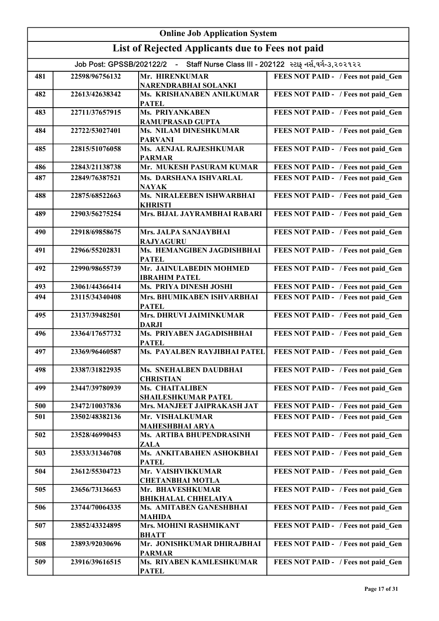|     | <b>Online Job Application System</b>                                               |                                                   |                                     |  |
|-----|------------------------------------------------------------------------------------|---------------------------------------------------|-------------------------------------|--|
|     |                                                                                    | List of Rejected Applicants due to Fees not paid  |                                     |  |
|     | Job Post: GPSSB/202122/2 - Staff Nurse Class III - 202122 સ્ટાફ નર્સ,વર્ગ-૩,૨૦૨૧૨૨ |                                                   |                                     |  |
| 481 | 22598/96756132                                                                     | Mr. HIRENKUMAR<br>NARENDRABHAI SOLANKI            | FEES NOT PAID - / Fees not paid Gen |  |
| 482 | 22613/42638342                                                                     | Ms. KRISHANABEN ANILKUMAR<br><b>PATEL</b>         | FEES NOT PAID - / Fees not paid Gen |  |
| 483 | 22711/37657915                                                                     | <b>Ms. PRIYANKABEN</b><br><b>RAMUPRASAD GUPTA</b> | FEES NOT PAID - / Fees not paid Gen |  |
| 484 | 22722/53027401                                                                     | Ms. NILAM DINESHKUMAR<br><b>PARVANI</b>           | FEES NOT PAID - / Fees not paid Gen |  |
| 485 | 22815/51076058                                                                     | Ms. AENJAL RAJESHKUMAR<br><b>PARMAR</b>           | FEES NOT PAID - / Fees not paid Gen |  |
| 486 | 22843/21138738                                                                     | Mr. MUKESH PASURAM KUMAR                          | FEES NOT PAID - / Fees not paid Gen |  |
| 487 | 22849/76387521                                                                     | Ms. DARSHANA ISHVARLAL<br><b>NAYAK</b>            | FEES NOT PAID - / Fees not paid Gen |  |
| 488 | 22875/68522663                                                                     | Ms. NIRALEEBEN ISHWARBHAI<br><b>KHRISTI</b>       | FEES NOT PAID - / Fees not paid Gen |  |
| 489 | 22903/56275254                                                                     | Mrs. BIJAL JAYRAMBHAI RABARI                      | FEES NOT PAID - / Fees not paid Gen |  |
| 490 | 22918/69858675                                                                     | Mrs. JALPA SANJAYBHAI<br><b>RAJYAGURU</b>         | FEES NOT PAID - / Fees not paid_Gen |  |
| 491 | 22966/55202831                                                                     | Ms. HEMANGIBEN JAGDISHBHAI<br><b>PATEL</b>        | FEES NOT PAID - / Fees not paid_Gen |  |
| 492 | 22990/98655739                                                                     | Mr. JAINULABEDIN MOHMED<br><b>IBRAHIM PATEL</b>   | FEES NOT PAID - / Fees not paid_Gen |  |
| 493 | 23061/44366414                                                                     | Ms. PRIYA DINESH JOSHI                            | FEES NOT PAID - / Fees not paid Gen |  |
| 494 | 23115/34340408                                                                     | Mrs. BHUMIKABEN ISHVARBHAI<br><b>PATEL</b>        | FEES NOT PAID - / Fees not paid Gen |  |
| 495 | 23137/39482501                                                                     | Mrs. DHRUVI JAIMINKUMAR<br><b>DARJI</b>           | FEES NOT PAID - / Fees not paid Gen |  |
| 496 | 23364/17657732                                                                     | Ms. PRIYABEN JAGADISHBHAI<br><b>PATEL</b>         | FEES NOT PAID - / Fees not paid Gen |  |
| 497 | 23369/96460587                                                                     | Ms. PAYALBEN RAYJIBHAI PATEL                      | FEES NOT PAID - / Fees not paid Gen |  |
| 498 | 23387/31822935                                                                     | Ms. SNEHALBEN DAUDBHAI<br><b>CHRISTIAN</b>        | FEES NOT PAID - / Fees not paid Gen |  |
| 499 | 23447/39780939                                                                     | Ms. CHAITALIBEN<br><b>SHAILESHKUMAR PATEL</b>     | FEES NOT PAID - / Fees not paid Gen |  |
| 500 | 23472/10037836                                                                     | Mrs. MANJEET JAIPRAKASH JAT                       | FEES NOT PAID - / Fees not paid Gen |  |
| 501 | 23502/48382136                                                                     | Mr. VISHALKUMAR<br><b>MAHESHBHAI ARYA</b>         | FEES NOT PAID - / Fees not paid Gen |  |
| 502 | 23528/46990453                                                                     | Ms. ARTIBA BHUPENDRASINH<br><b>ZALA</b>           | FEES NOT PAID - / Fees not paid Gen |  |
| 503 | 23533/31346708                                                                     | Ms. ANKITABAHEN ASHOKBHAI<br><b>PATEL</b>         | FEES NOT PAID - / Fees not paid Gen |  |
| 504 | 23612/55304723                                                                     | Mr. VAISHVIKKUMAR<br><b>CHETANBHAI MOTLA</b>      | FEES NOT PAID - / Fees not paid Gen |  |
| 505 | 23656/73136653                                                                     | Mr. BHAVESHKUMAR<br><b>BHIKHALAL CHHELAIYA</b>    | FEES NOT PAID - / Fees not paid Gen |  |
| 506 | 23744/70064335                                                                     | Ms. AMITABEN GANESHBHAI<br><b>MAHIDA</b>          | FEES NOT PAID - / Fees not paid Gen |  |
| 507 | 23852/43324895                                                                     | Mrs. MOHINI RASHMIKANT<br><b>BHATT</b>            | FEES NOT PAID - / Fees not paid Gen |  |
| 508 | 23893/92030696                                                                     | Mr. JONISHKUMAR DHIRAJBHAI<br><b>PARMAR</b>       | FEES NOT PAID - / Fees not paid Gen |  |
| 509 | 23916/39616515                                                                     | Ms. RIYABEN KAMLESHKUMAR<br><b>PATEL</b>          | FEES NOT PAID - / Fees not paid Gen |  |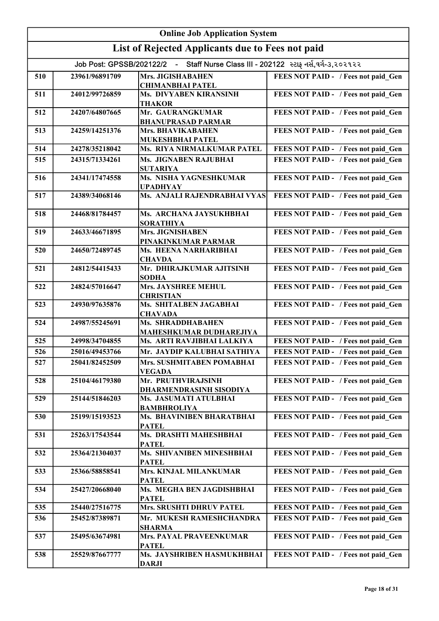| <b>Online Job Application System</b> |                                                                                       |                                                            |                                     |  |
|--------------------------------------|---------------------------------------------------------------------------------------|------------------------------------------------------------|-------------------------------------|--|
|                                      |                                                                                       | List of Rejected Applicants due to Fees not paid           |                                     |  |
|                                      | - Staff Nurse Class III - 202122 સ્ટાફ નર્સ,વર્ગ-૩,૨૦૨૧૨૨<br>Job Post: GPSSB/202122/2 |                                                            |                                     |  |
| 510                                  | 23961/96891709                                                                        | Mrs. JIGISHABAHEN<br><b>CHIMANBHAI PATEL</b>               | FEES NOT PAID - / Fees not paid Gen |  |
| 511                                  | 24012/99726859                                                                        | Ms. DIVYABEN KIRANSINH<br><b>THAKOR</b>                    | FEES NOT PAID - / Fees not paid Gen |  |
| 512                                  | 24207/64807665                                                                        | Mr. GAURANGKUMAR<br><b>BHANUPRASAD PARMAR</b>              | FEES NOT PAID - / Fees not paid Gen |  |
| 513                                  | 24259/14251376                                                                        | <b>Mrs. BHAVIKABAHEN</b><br>MUKESHBHAI PATEL               | FEES NOT PAID - / Fees not paid Gen |  |
| 514                                  | 24278/35218042                                                                        | Ms. RIYA NIRMALKUMAR PATEL                                 | FEES NOT PAID - / Fees not paid Gen |  |
| 515                                  | 24315/71334261                                                                        | Ms. JIGNABEN RAJUBHAI<br><b>SUTARIYA</b>                   | FEES NOT PAID - / Fees not paid Gen |  |
| 516                                  | 24341/17474558                                                                        | Ms. NISHA YAGNESHKUMAR<br><b>UPADHYAY</b>                  | FEES NOT PAID - / Fees not paid Gen |  |
| 517                                  | 24389/34068146                                                                        | Ms. ANJALI RAJENDRABHAI VYAS                               | FEES NOT PAID - / Fees not paid Gen |  |
| 518                                  | 24468/81784457                                                                        | Ms. ARCHANA JAYSUKHBHAI<br><b>SORATHIYA</b>                | FEES NOT PAID - / Fees not paid Gen |  |
| 519                                  | 24633/46671895                                                                        | Mrs. JIGNISHABEN<br>PINAKINKUMAR PARMAR                    | FEES NOT PAID - / Fees not paid Gen |  |
| 520                                  | 24650/72489745                                                                        | Ms. HEENA NARHARIBHAI<br><b>CHAVDA</b>                     | FEES NOT PAID - / Fees not paid_Gen |  |
| 521                                  | 24812/54415433                                                                        | Mr. DHIRAJKUMAR AJITSINH<br><b>SODHA</b>                   | FEES NOT PAID - / Fees not paid Gen |  |
| 522                                  | 24824/57016647                                                                        | Mrs. JAYSHREE MEHUL<br><b>CHRISTIAN</b>                    | FEES NOT PAID - / Fees not paid_Gen |  |
| 523                                  | 24930/97635876                                                                        | Ms. SHITALBEN JAGABHAI<br><b>CHAVADA</b>                   | FEES NOT PAID - / Fees not paid Gen |  |
| 524                                  | 24987/55245691                                                                        | <b>Ms. SHRADDHABAHEN</b><br><b>MAHESHKUMAR DUDHAREJIYA</b> | FEES NOT PAID - / Fees not paid Gen |  |
| 525                                  | 24998/34704855                                                                        | Ms. ARTI RAVJIBHAI LALKIYA                                 | FEES NOT PAID - / Fees not paid Gen |  |
| 526                                  | 25016/49453766                                                                        | Mr. JAYDIP KALUBHAI SATHIYA                                | FEES NOT PAID - / Fees not paid Gen |  |
| 527                                  | 25041/82452509                                                                        | Mrs. SUSHMITABEN POMABHAI<br><b>VEGADA</b>                 | FEES NOT PAID - / Fees not paid Gen |  |
| 528                                  | 25104/46179380                                                                        | Mr. PRUTHVIRAJSINH<br><b>DHARMENDRASINH SISODIYA</b>       | FEES NOT PAID - / Fees not paid Gen |  |
| 529                                  | 25144/51846203                                                                        | Ms. JASUMATI ATULBHAI<br><b>BAMBHROLIYA</b>                | FEES NOT PAID - / Fees not paid Gen |  |
| 530                                  | 25199/15193523                                                                        | Ms. BHAVINIBEN BHARATBHAI<br><b>PATEL</b>                  | FEES NOT PAID - / Fees not paid Gen |  |
| 531                                  | 25263/17543544                                                                        | Ms. DRASHTI MAHESHBHAI<br><b>PATEL</b>                     | FEES NOT PAID - / Fees not paid Gen |  |
| 532                                  | 25364/21304037                                                                        | Ms. SHIVANIBEN MINESHBHAI<br><b>PATEL</b>                  | FEES NOT PAID - / Fees not paid Gen |  |
| 533                                  | 25366/58858541                                                                        | Mrs. KINJAL MILANKUMAR<br><b>PATEL</b>                     | FEES NOT PAID - / Fees not paid Gen |  |
| 534                                  | 25427/20668040                                                                        | Ms. MEGHA BEN JAGDISHBHAI<br><b>PATEL</b>                  | FEES NOT PAID - / Fees not paid Gen |  |
| 535                                  | 25440/27516775                                                                        | Mrs. SRUSHTI DHRUV PATEL                                   | FEES NOT PAID - / Fees not paid Gen |  |
| 536                                  | 25452/87389871                                                                        | Mr. MUKESH RAMESHCHANDRA<br><b>SHARMA</b>                  | FEES NOT PAID - / Fees not paid Gen |  |
| 537                                  | 25495/63674981                                                                        | Mrs. PAYAL PRAVEENKUMAR<br><b>PATEL</b>                    | FEES NOT PAID - / Fees not paid Gen |  |
| 538                                  | 25529/87667777                                                                        | Ms. JAYSHRIBEN HASMUKHBHAI<br><b>DARJI</b>                 | FEES NOT PAID - / Fees not paid Gen |  |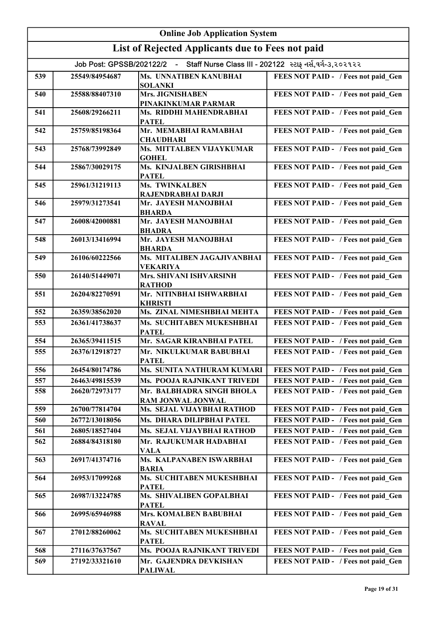| <b>Online Job Application System</b> |                                                                                    |                                                  |                                     |  |
|--------------------------------------|------------------------------------------------------------------------------------|--------------------------------------------------|-------------------------------------|--|
|                                      |                                                                                    | List of Rejected Applicants due to Fees not paid |                                     |  |
|                                      | Job Post: GPSSB/202122/2 - Staff Nurse Class III - 202122 સ્ટાફ નર્સ,વર્ગ-૩,૨૦૨૧૨૨ |                                                  |                                     |  |
| 539                                  | 25549/84954687                                                                     | Ms. UNNATIBEN KANUBHAI<br><b>SOLANKI</b>         | FEES NOT PAID - / Fees not paid Gen |  |
| 540                                  | 25588/88407310                                                                     | Mrs. JIGNISHABEN<br>PINAKINKUMAR PARMAR          | FEES NOT PAID - / Fees not paid Gen |  |
| 541                                  | 25608/29266211                                                                     | Ms. RIDDHI MAHENDRABHAI<br><b>PATEL</b>          | FEES NOT PAID - / Fees not paid Gen |  |
| 542                                  | 25759/85198364                                                                     | Mr. MEMABHAI RAMABHAI<br><b>CHAUDHARI</b>        | FEES NOT PAID - / Fees not paid Gen |  |
| 543                                  | 25768/73992849                                                                     | Ms. MITTALBEN VIJAYKUMAR<br><b>GOHEL</b>         | FEES NOT PAID - / Fees not paid Gen |  |
| 544                                  | 25867/30029175                                                                     | Ms. KINJALBEN GIRISHBHAI<br><b>PATEL</b>         | FEES NOT PAID - / Fees not paid Gen |  |
| 545                                  | 25961/31219113                                                                     | Ms. TWINKALBEN<br>RAJENDRABHAI DARJI             | FEES NOT PAID - / Fees not paid Gen |  |
| 546                                  | 25979/31273541                                                                     | Mr. JAYESH MANOJBHAI<br><b>BHARDA</b>            | FEES NOT PAID - / Fees not paid Gen |  |
| 547                                  | 26008/42000881                                                                     | Mr. JAYESH MANOJBHAI<br><b>BHADRA</b>            | FEES NOT PAID - / Fees not paid Gen |  |
| 548                                  | 26013/13416994                                                                     | Mr. JAYESH MANOJBHAI<br><b>BHARDA</b>            | FEES NOT PAID - / Fees not paid_Gen |  |
| 549                                  | 26106/60222566                                                                     | Ms. MITALIBEN JAGAJIVANBHAI<br><b>VEKARIYA</b>   | FEES NOT PAID - / Fees not paid_Gen |  |
| 550                                  | 26140/51449071                                                                     | Mrs. SHIVANI ISHVARSINH<br><b>RATHOD</b>         | FEES NOT PAID - / Fees not paid Gen |  |
| 551                                  | 26204/82270591                                                                     | Mr. NITINBHAI ISHWARBHAI<br><b>KHRISTI</b>       | FEES NOT PAID - / Fees not paid Gen |  |
| 552                                  | 26359/38562020                                                                     | Ms. ZINAL NIMESHBHAI MEHTA                       | FEES NOT PAID - / Fees not paid Gen |  |
| 553                                  | 26361/41738637                                                                     | Ms. SUCHITABEN MUKESHBHAI<br><b>PATEL</b>        | FEES NOT PAID - / Fees not paid Gen |  |
| 554                                  | 26365/39411515                                                                     | Mr. SAGAR KIRANBHAI PATEL                        | FEES NOT PAID - / Fees not paid Gen |  |
| 555                                  | 26376/12918727                                                                     | Mr. NIKULKUMAR BABUBHAI<br><b>PATEL</b>          | FEES NOT PAID - / Fees not paid_Gen |  |
| 556                                  | 26454/80174786                                                                     | Ms. SUNITA NATHURAM KUMARI                       | FEES NOT PAID - / Fees not paid_Gen |  |
| 557                                  | 26463/49815539                                                                     | Ms. POOJA RAJNIKANT TRIVEDI                      | FEES NOT PAID - / Fees not paid Gen |  |
| 558                                  | 26620/72973177                                                                     | Mr. BALBHADRA SINGH BHOLA<br>RAM JONWAL JONWAL   | FEES NOT PAID - / Fees not paid Gen |  |
| 559                                  | 26700/77814704                                                                     | Ms. SEJAL VIJAYBHAI RATHOD                       | FEES NOT PAID - / Fees not paid Gen |  |
| 560                                  | 26772/13018056                                                                     | Ms. DHARA DILIPBHAI PATEL                        | FEES NOT PAID - / Fees not paid Gen |  |
| 561                                  | 26805/18527404                                                                     | Ms. SEJAL VIJAYBHAI RATHOD                       | FEES NOT PAID - / Fees not paid Gen |  |
| 562                                  | 26884/84318180                                                                     | Mr. RAJUKUMAR HADABHAI<br><b>VALA</b>            | FEES NOT PAID - / Fees not paid Gen |  |
| 563                                  | 26917/41374716                                                                     | Ms. KALPANABEN ISWARBHAI<br><b>BARIA</b>         | FEES NOT PAID - / Fees not paid Gen |  |
| 564                                  | 26953/17099268                                                                     | Ms. SUCHITABEN MUKESHBHAI<br><b>PATEL</b>        | FEES NOT PAID - / Fees not paid Gen |  |
| 565                                  | 26987/13224785                                                                     | Ms. SHIVALIBEN GOPALBHAI<br><b>PATEL</b>         | FEES NOT PAID - / Fees not paid Gen |  |
| 566                                  | 26995/65946988                                                                     | Mrs. KOMALBEN BABUBHAI<br><b>RAVAL</b>           | FEES NOT PAID - / Fees not paid Gen |  |
| 567                                  | 27012/88260062                                                                     | Ms. SUCHITABEN MUKESHBHAI<br><b>PATEL</b>        | FEES NOT PAID - / Fees not paid Gen |  |
| 568                                  | 27116/37637567                                                                     | Ms. POOJA RAJNIKANT TRIVEDI                      | FEES NOT PAID - / Fees not paid Gen |  |
| 569                                  | 27192/33321610                                                                     | Mr. GAJENDRA DEVKISHAN<br><b>PALIWAL</b>         | FEES NOT PAID - / Fees not paid Gen |  |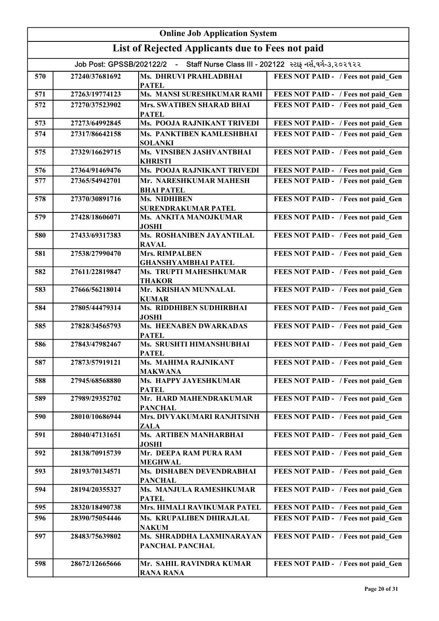|     | <b>Online Job Application System</b>                                               |                                                     |                                     |  |
|-----|------------------------------------------------------------------------------------|-----------------------------------------------------|-------------------------------------|--|
|     |                                                                                    | List of Rejected Applicants due to Fees not paid    |                                     |  |
|     | Job Post: GPSSB/202122/2 - Staff Nurse Class III - 202122 સ્ટાફ નર્સ,વર્ગ-૩,૨૦૨૧૨૨ |                                                     |                                     |  |
| 570 | 27240/37681692                                                                     | Ms. DHRUVI PRAHLADBHAI<br><b>PATEL</b>              | FEES NOT PAID - / Fees not paid Gen |  |
| 571 | 27263/19774123                                                                     | Ms. MANSI SURESHKUMAR RAMI                          | FEES NOT PAID - / Fees not paid Gen |  |
| 572 | 27270/37523902                                                                     | Mrs. SWATIBEN SHARAD BHAI<br><b>PATEL</b>           | FEES NOT PAID - / Fees not paid Gen |  |
| 573 | 27273/64992845                                                                     | Ms. POOJA RAJNIKANT TRIVEDI                         | FEES NOT PAID - / Fees not paid Gen |  |
| 574 | 27317/86642158                                                                     | Ms. PANKTIBEN KAMLESHBHAI<br><b>SOLANKI</b>         | FEES NOT PAID - / Fees not paid Gen |  |
| 575 | 27329/16629715                                                                     | Ms. VINSIBEN JASHVANTBHAI<br><b>KHRISTI</b>         | FEES NOT PAID - / Fees not paid Gen |  |
| 576 | 27364/91469476                                                                     | Ms. POOJA RAJNIKANT TRIVEDI                         | FEES NOT PAID - / Fees not paid_Gen |  |
| 577 | 27365/54942701                                                                     | Mr. NARESHKUMAR MAHESH<br><b>BHAI PATEL</b>         | FEES NOT PAID - / Fees not paid Gen |  |
| 578 | 27370/30891716                                                                     | Ms. NIDHIBEN<br>SURENDRAKUMAR PATEL                 | FEES NOT PAID - / Fees not paid Gen |  |
| 579 | 27428/18606071                                                                     | Ms. ANKITA MANOJKUMAR<br><b>JOSHI</b>               | FEES NOT PAID - / Fees not paid Gen |  |
| 580 | 27433/69317383                                                                     | Ms. ROSHANIBEN JAYANTILAL<br><b>RAVAL</b>           | FEES NOT PAID - / Fees not paid Gen |  |
| 581 | 27538/27990470                                                                     | <b>Mrs. RIMPALBEN</b><br><b>GHANSHYAMBHAI PATEL</b> | FEES NOT PAID - / Fees not paid Gen |  |
| 582 | 27611/22819847                                                                     | Ms. TRUPTI MAHESHKUMAR<br><b>THAKOR</b>             | FEES NOT PAID - / Fees not paid Gen |  |
| 583 | 27666/56218014                                                                     | Mr. KRISHAN MUNNALAL<br><b>KUMAR</b>                | FEES NOT PAID - / Fees not paid Gen |  |
| 584 | 27805/44479314                                                                     | Ms. RIDDHIBEN SUDHIRBHAI<br><b>JOSHI</b>            | FEES NOT PAID - / Fees not paid Gen |  |
| 585 | 27828/34565793                                                                     | <b>Ms. HEENABEN DWARKADAS</b><br><b>PATEL</b>       | FEES NOT PAID - / Fees not paid Gen |  |
| 586 | 27843/47982467                                                                     | Ms. SRUSHTI HIMANSHUBHAI<br><b>PATEL</b>            | FEES NOT PAID - / Fees not paid Gen |  |
| 587 | 27873/57919121                                                                     | Ms. MAHIMA RAJNIKANT<br><b>MAKWANA</b>              | FEES NOT PAID - / Fees not paid Gen |  |
| 588 | 27945/68568880                                                                     | Ms. HAPPY JAYESHKUMAR<br><b>PATEL</b>               | FEES NOT PAID - / Fees not paid Gen |  |
| 589 | 27989/29352702                                                                     | Mr. HARD MAHENDRAKUMAR<br><b>PANCHAL</b>            | FEES NOT PAID - / Fees not paid Gen |  |
| 590 | 28010/10686944                                                                     | Mrs. DIVYAKUMARI RANJITSINH<br><b>ZALA</b>          | FEES NOT PAID - / Fees not paid Gen |  |
| 591 | 28040/47131651                                                                     | Ms. ARTIBEN MANHARBHAI<br><b>JOSHI</b>              | FEES NOT PAID - / Fees not paid Gen |  |
| 592 | 28138/70915739                                                                     | Mr. DEEPA RAM PURA RAM<br><b>MEGHWAL</b>            | FEES NOT PAID - / Fees not paid Gen |  |
| 593 | 28193/70134571                                                                     | Ms. DISHABEN DEVENDRABHAI<br><b>PANCHAL</b>         | FEES NOT PAID - / Fees not paid Gen |  |
| 594 | 28194/20355327                                                                     | Ms. MANJULA RAMESHKUMAR<br><b>PATEL</b>             | FEES NOT PAID - / Fees not paid Gen |  |
| 595 | 28320/18490738                                                                     | Mrs. HIMALI RAVIKUMAR PATEL                         | FEES NOT PAID - / Fees not paid Gen |  |
| 596 | 28390/75054446                                                                     | Ms. KRUPALIBEN DHIRAJLAL<br><b>NAKUM</b>            | FEES NOT PAID - / Fees not paid Gen |  |
| 597 | 28483/75639802                                                                     | Ms. SHRADDHA LAXMINARAYAN<br>PANCHAL PANCHAL        | FEES NOT PAID - / Fees not paid Gen |  |
| 598 | 28672/12665666                                                                     | Mr. SAHIL RAVINDRA KUMAR<br><b>RANA RANA</b>        | FEES NOT PAID - / Fees not paid Gen |  |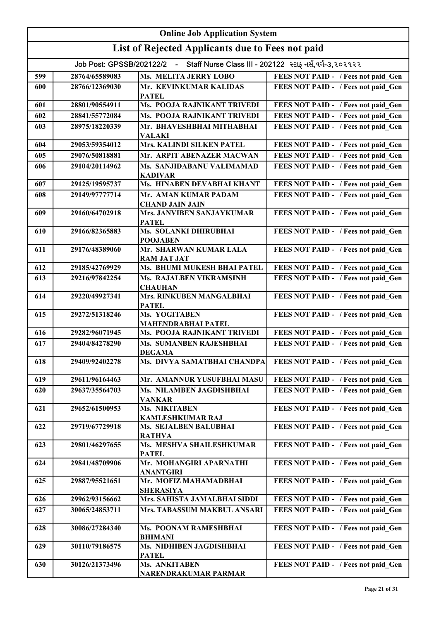| <b>Online Job Application System</b> |                |                                                                                    |                                     |
|--------------------------------------|----------------|------------------------------------------------------------------------------------|-------------------------------------|
|                                      |                | List of Rejected Applicants due to Fees not paid                                   |                                     |
|                                      |                | Job Post: GPSSB/202122/2 - Staff Nurse Class III - 202122 સ્ટાફ નર્સ,વર્ગ-૩,૨૦૨૧૨૨ |                                     |
| 599                                  | 28764/65589083 | Ms. MELITA JERRY LOBO                                                              | FEES NOT PAID - / Fees not paid Gen |
| 600                                  | 28766/12369030 | Mr. KEVINKUMAR KALIDAS<br><b>PATEL</b>                                             | FEES NOT PAID - / Fees not paid Gen |
| 601                                  | 28801/90554911 | Ms. POOJA RAJNIKANT TRIVEDI                                                        | FEES NOT PAID - / Fees not paid Gen |
| 602                                  | 28841/55772084 | Ms. POOJA RAJNIKANT TRIVEDI                                                        | FEES NOT PAID - / Fees not paid Gen |
| 603                                  | 28975/18220339 | Mr. BHAVESHBHAI MITHABHAI<br><b>VALAKI</b>                                         | FEES NOT PAID - / Fees not paid Gen |
| 604                                  | 29053/59354012 | Mrs. KALINDI SILKEN PATEL                                                          | FEES NOT PAID - / Fees not paid Gen |
| 605                                  | 29076/50818881 | Mr. ARPIT ABENAZER MACWAN                                                          | FEES NOT PAID - / Fees not paid Gen |
| 606                                  | 29104/20114962 | Ms. SANJIDABANU VALIMAMAD<br><b>KADIVAR</b>                                        | FEES NOT PAID - / Fees not paid Gen |
| 607                                  | 29125/19595737 | Ms. HINABEN DEVABHAI KHANT                                                         | FEES NOT PAID - / Fees not paid Gen |
| 608                                  | 29149/97777714 | Mr. AMAN KUMAR PADAM<br><b>CHAND JAIN JAIN</b>                                     | FEES NOT PAID - / Fees not paid Gen |
| 609                                  | 29160/64702918 | <b>Mrs. JANVIBEN SANJAYKUMAR</b><br><b>PATEL</b>                                   | FEES NOT PAID - / Fees not paid_Gen |
| 610                                  | 29166/82365883 | Ms. SOLANKI DHIRUBHAI<br><b>POOJABEN</b>                                           | FEES NOT PAID - / Fees not paid_Gen |
| 611                                  | 29176/48389060 | Mr. SHARWAN KUMAR LALA<br><b>RAM JAT JAT</b>                                       | FEES NOT PAID - / Fees not paid Gen |
| 612                                  | 29185/42769929 | Ms. BHUMI MUKESH BHAI PATEL                                                        | FEES NOT PAID - / Fees not paid Gen |
| 613                                  | 29216/97842254 | Ms. RAJALBEN VIKRAMSINH<br><b>CHAUHAN</b>                                          | FEES NOT PAID - / Fees not paid Gen |
| 614                                  | 29220/49927341 | Mrs. RINKUBEN MANGALBHAI<br><b>PATEL</b>                                           | FEES NOT PAID - / Fees not paid Gen |
| 615                                  | 29272/51318246 | Ms. YOGITABEN<br><b>MAHENDRABHAI PATEL</b>                                         | FEES NOT PAID - / Fees not paid Gen |
| 616                                  | 29282/96071945 | Ms. POOJA RAJNIKANT TRIVEDI                                                        | FEES NOT PAID - / Fees not paid Gen |
| 617                                  | 29404/84278290 | Ms. SUMANBEN RAJESHBHAI<br><b>DEGAMA</b>                                           | FEES NOT PAID - / Fees not paid Gen |
| 618                                  | 29409/92402278 | Ms. DIVYA SAMATBHAI CHANDPA                                                        | FEES NOT PAID - / Fees not paid Gen |
| 619                                  | 29611/96164463 | Mr. AMANNUR YUSUFBHAI MASU                                                         | FEES NOT PAID - / Fees not paid Gen |
| 620                                  | 29637/35564703 | Ms. NILAMBEN JAGDISHBHAI<br><b>VANKAR</b>                                          | FEES NOT PAID - / Fees not paid Gen |
| 621                                  | 29652/61500953 | Ms. NIKITABEN<br><b>KAMLESHKUMAR RAJ</b>                                           | FEES NOT PAID - / Fees not paid Gen |
| 622                                  | 29719/67729918 | Ms. SEJALBEN BALUBHAI<br><b>RATHVA</b>                                             | FEES NOT PAID - / Fees not paid Gen |
| 623                                  | 29801/46297655 | Ms. MESHVA SHAILESHKUMAR<br><b>PATEL</b>                                           | FEES NOT PAID - / Fees not paid Gen |
| 624                                  | 29841/48709906 | Mr. MOHANGIRI APARNATHI<br><b>ANANTGIRI</b>                                        | FEES NOT PAID - / Fees not paid Gen |
| 625                                  | 29887/95521651 | Mr. MOFIZ MAHAMADBHAI<br><b>SHERASIYA</b>                                          | FEES NOT PAID - / Fees not paid Gen |
| 626                                  | 29962/93156662 | Mrs. SAHISTA JAMALBHAI SIDDI                                                       | FEES NOT PAID - / Fees not paid Gen |
| 627                                  | 30065/24853711 | <b>Mrs. TABASSUM MAKBUL ANSARI</b>                                                 | FEES NOT PAID - / Fees not paid Gen |
| 628                                  | 30086/27284340 | Ms. POONAM RAMESHBHAI<br><b>BHIMANI</b>                                            | FEES NOT PAID - / Fees not paid Gen |
| 629                                  | 30110/79186575 | Ms. NIDHIBEN JAGDISHBHAI<br><b>PATEL</b>                                           | FEES NOT PAID - / Fees not paid Gen |
| 630                                  | 30126/21373496 | Ms. ANKITABEN<br>NARENDRAKUMAR PARMAR                                              | FEES NOT PAID - / Fees not paid Gen |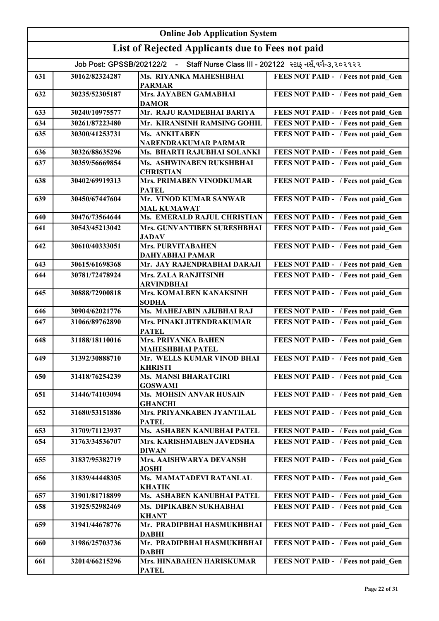| <b>Online Job Application System</b> |                                                                                       |                                                       |                                     |  |
|--------------------------------------|---------------------------------------------------------------------------------------|-------------------------------------------------------|-------------------------------------|--|
|                                      | List of Rejected Applicants due to Fees not paid                                      |                                                       |                                     |  |
|                                      | - Staff Nurse Class III - 202122 સ્ટાફ નર્સ,વર્ગ-૩,૨૦૨૧૨૨<br>Job Post: GPSSB/202122/2 |                                                       |                                     |  |
| 631                                  | 30162/82324287                                                                        | Ms. RIYANKA MAHESHBHAI<br><b>PARMAR</b>               | FEES NOT PAID - / Fees not paid Gen |  |
| 632                                  | 30235/52305187                                                                        | Mrs. JAYABEN GAMABHAI<br><b>DAMOR</b>                 | FEES NOT PAID - / Fees not paid Gen |  |
| 633                                  | 30240/10975577                                                                        | Mr. RAJU RAMDEBHAI BARIYA                             | FEES NOT PAID - / Fees not paid Gen |  |
| 634                                  | 30261/87223480                                                                        | Mr. KIRANSINH RAMSING GOHIL                           | FEES NOT PAID - / Fees not paid Gen |  |
| 635                                  | 30300/41253731                                                                        | Ms. ANKITABEN<br>NARENDRAKUMAR PARMAR                 | FEES NOT PAID - / Fees not paid Gen |  |
| 636                                  | 30326/88635296                                                                        | Ms. BHARTI RAJUBHAI SOLANKI                           | FEES NOT PAID - / Fees not paid Gen |  |
| 637                                  | 30359/56669854                                                                        | Ms. ASHWINABEN RUKSHBHAI<br><b>CHRISTIAN</b>          | FEES NOT PAID - / Fees not paid Gen |  |
| 638                                  | 30402/69919313                                                                        | <b>Mrs. PRIMABEN VINODKUMAR</b><br><b>PATEL</b>       | FEES NOT PAID - / Fees not paid Gen |  |
| 639                                  | 30450/67447604                                                                        | Mr. VINOD KUMAR SANWAR<br><b>MAL KUMAWAT</b>          | FEES NOT PAID - / Fees not paid Gen |  |
| 640                                  | 30476/73564644                                                                        | Ms. EMERALD RAJUL CHRISTIAN                           | FEES NOT PAID - / Fees not paid Gen |  |
| 641                                  | 30543/45213042                                                                        | Mrs. GUNVANTIBEN SURESHBHAI<br><b>JADAV</b>           | FEES NOT PAID - / Fees not paid Gen |  |
| 642                                  | 30610/40333051                                                                        | <b>Mrs. PURVITABAHEN</b><br><b>DAHYABHAI PAMAR</b>    | FEES NOT PAID - / Fees not paid Gen |  |
| 643                                  | 30615/61698368                                                                        | Mr. JAY RAJENDRABHAI DARAJI                           | FEES NOT PAID - / Fees not paid Gen |  |
| 644                                  | 30781/72478924                                                                        | <b>Mrs. ZALA RANJITSINH</b><br><b>ARVINDBHAI</b>      | FEES NOT PAID - / Fees not paid Gen |  |
| 645                                  | 30888/72900818                                                                        | Mrs. KOMALBEN KANAKSINH<br><b>SODHA</b>               | FEES NOT PAID - / Fees not paid_Gen |  |
| 646                                  | 30904/62021776                                                                        | Ms. MAHEJABIN AJIJBHAI RAJ                            | FEES NOT PAID - / Fees not paid Gen |  |
| 647                                  | 31066/89762890                                                                        | Mrs. PINAKI JITENDRAKUMAR<br><b>PATEL</b>             | FEES NOT PAID - / Fees not paid Gen |  |
| 648                                  | 31188/18110016                                                                        | <b>Mrs. PRIYANKA BAHEN</b><br><b>MAHESHBHAI PATEL</b> | FEES NOT PAID - / Fees not paid Gen |  |
| 649                                  | 31392/30888710                                                                        | Mr. WELLS KUMAR VINOD BHAI<br><b>KHRISTI</b>          | FEES NOT PAID - / Fees not paid Gen |  |
| 650                                  | 31418/76254239                                                                        | <b>Ms. MANSI BHARATGIRI</b><br><b>GOSWAMI</b>         | FEES NOT PAID - / Fees not paid Gen |  |
| 651                                  | 31446/74103094                                                                        | Ms. MOHSIN ANVAR HUSAIN<br><b>GHANCHI</b>             | FEES NOT PAID - / Fees not paid Gen |  |
| 652                                  | 31680/53151886                                                                        | Mrs. PRIYANKABEN JYANTILAL<br><b>PATEL</b>            | FEES NOT PAID - / Fees not paid Gen |  |
| 653                                  | 31709/71123937                                                                        | Ms. ASHABEN KANUBHAI PATEL                            | FEES NOT PAID - / Fees not paid Gen |  |
| 654                                  | 31763/34536707                                                                        | Mrs. KARISHMABEN JAVEDSHA<br><b>DIWAN</b>             | FEES NOT PAID - / Fees not paid Gen |  |
| 655                                  | 31837/95382719                                                                        | Mrs. AAISHWARYA DEVANSH<br><b>JOSHI</b>               | FEES NOT PAID - / Fees not paid_Gen |  |
| 656                                  | 31839/44448305                                                                        | Ms. MAMATADEVI RATANLAL<br><b>KHATIK</b>              | FEES NOT PAID - / Fees not paid Gen |  |
| 657                                  | 31901/81718899                                                                        | Ms. ASHABEN KANUBHAI PATEL                            | FEES NOT PAID - / Fees not paid Gen |  |
| 658                                  | 31925/52982469                                                                        | Ms. DIPIKABEN SUKHABHAI<br><b>KHANT</b>               | FEES NOT PAID - / Fees not paid Gen |  |
| 659                                  | 31941/44678776                                                                        | Mr. PRADIPBHAI HASMUKHBHAI<br><b>DABHI</b>            | FEES NOT PAID - / Fees not paid Gen |  |
| 660                                  | 31986/25703736                                                                        | Mr. PRADIPBHAI HASMUKHBHAI<br><b>DABHI</b>            | FEES NOT PAID - / Fees not paid Gen |  |
| 661                                  | 32014/66215296                                                                        | Mrs. HINABAHEN HARISKUMAR<br><b>PATEL</b>             | FEES NOT PAID - / Fees not paid Gen |  |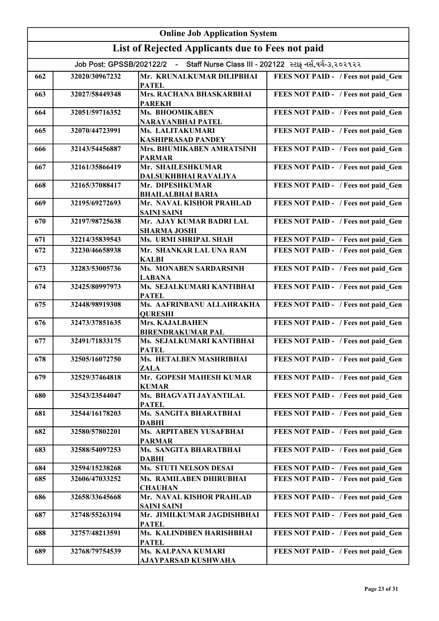| <b>Online Job Application System</b> |                          |                                                    |                                                         |
|--------------------------------------|--------------------------|----------------------------------------------------|---------------------------------------------------------|
|                                      |                          | List of Rejected Applicants due to Fees not paid   |                                                         |
|                                      | Job Post: GPSSB/202122/2 | $\blacksquare$                                     | Staff Nurse Class III - 202122 સ્ટાફ નર્સ,વર્ગ-૩,૨૦૨૧૨૨ |
| 662                                  | 32020/30967232           | Mr. KRUNALKUMAR DILIPBHAI<br><b>PATEL</b>          | FEES NOT PAID - / Fees not paid Gen                     |
| 663                                  | 32027/58449348           | Mrs. RACHANA BHASKARBHAI<br><b>PAREKH</b>          | FEES NOT PAID - / Fees not paid Gen                     |
| 664                                  | 32051/59716352           | Ms. BHOOMIKABEN<br>NARAYANBHAI PATEL               | FEES NOT PAID - / Fees not paid Gen                     |
| 665                                  | 32070/44723991           | Ms. LALITAKUMARI<br><b>KASHIPRASAD PANDEY</b>      | FEES NOT PAID - / Fees not paid Gen                     |
| 666                                  | 32143/54456887           | Mrs. BHUMIKABEN AMRATSINH<br><b>PARMAR</b>         | FEES NOT PAID - / Fees not paid Gen                     |
| 667                                  | 32161/35866419           | Mr. SHAILESHKUMAR<br>DALSUKHBHAI RAVALIYA          | FEES NOT PAID - / Fees not paid Gen                     |
| 668                                  | 32165/37088417           | Mr. DIPESHKUMAR<br><b>BHAILALBHAI BARIA</b>        | FEES NOT PAID - / Fees not paid Gen                     |
| 669                                  | 32195/69272693           | Mr. NAVAL KISHOR PRAHLAD<br><b>SAINI SAINI</b>     | FEES NOT PAID - / Fees not paid Gen                     |
| 670                                  | 32197/98725638           | Mr. AJAY KUMAR BADRI LAL<br><b>SHARMA JOSHI</b>    | FEES NOT PAID - / Fees not paid Gen                     |
| 671                                  | 32214/35839543           | Ms. URMI SHRIPAL SHAH                              | FEES NOT PAID - / Fees not paid Gen                     |
| 672                                  | 32230/46658938           | Mr. SHANKAR LAL UNA RAM<br><b>KALBI</b>            | FEES NOT PAID - / Fees not paid_Gen                     |
| 673                                  | 32283/53005736           | <b>Ms. MONABEN SARDARSINH</b><br><b>LABANA</b>     | FEES NOT PAID - / Fees not paid Gen                     |
| 674                                  | 32425/80997973           | Ms. SEJALKUMARI KANTIBHAI<br><b>PATEL</b>          | FEES NOT PAID - / Fees not paid_Gen                     |
| 675                                  | 32448/98919308           | Ms. AAFRINBANU ALLAHRAKHA<br><b>QURESHI</b>        | FEES NOT PAID - / Fees not paid Gen                     |
| 676                                  | 32473/37851635           | <b>Mrs. KAJALBAHEN</b><br><b>BIRENDRAKUMAR PAL</b> | FEES NOT PAID - / Fees not paid_Gen                     |
| 677                                  | 32491/71833175           | Ms. SEJALKUMARI KANTIBHAI<br><b>PATEL</b>          | FEES NOT PAID - / Fees not paid Gen                     |
| 678                                  | 32505/16072750           | Ms. HETALBEN MASHRIBHAI<br><b>ZALA</b>             | FEES NOT PAID - / Fees not paid Gen                     |
| 679                                  | 32529/37464818           | Mr. GOPESH MAHESH KUMAR<br><b>KUMAR</b>            | FEES NOT PAID - / Fees not paid Gen                     |
| 680                                  | 32543/23544047           | Ms. BHAGVATI JAYANTILAL<br><b>PATEL</b>            | FEES NOT PAID - / Fees not paid Gen                     |
| 681                                  | 32544/16178203           | Ms. SANGITA BHARATBHAI<br><b>DABHI</b>             | FEES NOT PAID - / Fees not paid Gen                     |
| 682                                  | 32580/57802201           | Ms. ARPITABEN YUSAFBHAI<br><b>PARMAR</b>           | FEES NOT PAID - / Fees not paid Gen                     |
| 683                                  | 32588/54097253           | Ms. SANGITA BHARATBHAI<br><b>DABHI</b>             | FEES NOT PAID - / Fees not paid Gen                     |
| 684                                  | 32594/15238268           | <b>Ms. STUTI NELSON DESAI</b>                      | FEES NOT PAID - / Fees not paid Gen                     |
| 685                                  | 32606/47033252           | Ms. RAMILABEN DHIRUBHAI<br><b>CHAUHAN</b>          | FEES NOT PAID - / Fees not paid Gen                     |
| 686                                  | 32658/33645668           | Mr. NAVAL KISHOR PRAHLAD<br><b>SAINI SAINI</b>     | FEES NOT PAID - / Fees not paid Gen                     |
| 687                                  | 32748/55263194           | Mr. JIMILKUMAR JAGDISHBHAI<br><b>PATEL</b>         | FEES NOT PAID - / Fees not paid Gen                     |
| 688                                  | 32757/48213591           | Ms. KALINDIBEN HARISHBHAI<br><b>PATEL</b>          | FEES NOT PAID - / Fees not paid Gen                     |
| 689                                  | 32768/79754539           | Ms. KALPANA KUMARI<br>AJAYPARSAD KUSHWAHA          | FEES NOT PAID - / Fees not paid Gen                     |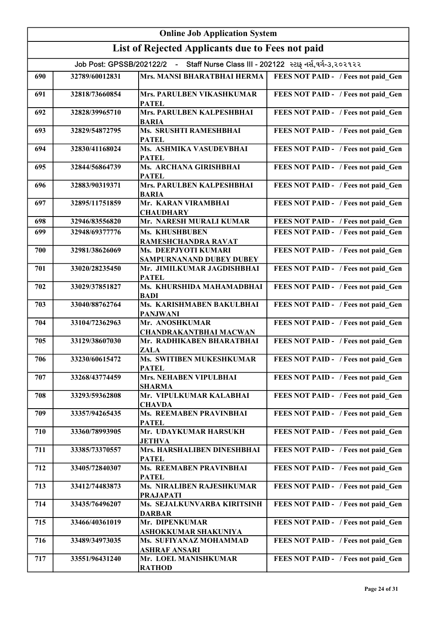| <b>Online Job Application System</b> |                                                  |                                                             |                                                         |  |
|--------------------------------------|--------------------------------------------------|-------------------------------------------------------------|---------------------------------------------------------|--|
|                                      | List of Rejected Applicants due to Fees not paid |                                                             |                                                         |  |
|                                      | Job Post: GPSSB/202122/2 -                       |                                                             | Staff Nurse Class III - 202122 સ્ટાફ નર્સ,વર્ગ-૩,૨૦૨૧૨૨ |  |
| 690                                  | 32789/60012831                                   | Mrs. MANSI BHARATBHAI HERMA                                 | FEES NOT PAID - / Fees not paid Gen                     |  |
| 691                                  | 32818/73660854                                   | Mrs. PARULBEN VIKASHKUMAR<br><b>PATEL</b>                   | FEES NOT PAID - / Fees not paid Gen                     |  |
| 692                                  | 32828/39965710                                   | Mrs. PARULBEN KALPESHBHAI<br><b>BARIA</b>                   | FEES NOT PAID - / Fees not paid Gen                     |  |
| 693                                  | 32829/54872795                                   | Ms. SRUSHTI RAMESHBHAI<br><b>PATEL</b>                      | FEES NOT PAID - / Fees not paid Gen                     |  |
| 694                                  | 32830/41168024                                   | Ms. ASHMIKA VASUDEVBHAI<br><b>PATEL</b>                     | FEES NOT PAID - / Fees not paid Gen                     |  |
| 695                                  | 32844/56864739                                   | Ms. ARCHANA GIRISHBHAI<br><b>PATEL</b>                      | FEES NOT PAID - / Fees not paid Gen                     |  |
| 696                                  | 32883/90319371                                   | Mrs. PARULBEN KALPESHBHAI<br><b>BARIA</b>                   | FEES NOT PAID - / Fees not paid Gen                     |  |
| 697                                  | 32895/11751859                                   | Mr. KARAN VIRAMBHAI<br><b>CHAUDHARY</b>                     | FEES NOT PAID - / Fees not paid Gen                     |  |
| 698                                  | 32946/83556820                                   | Mr. NARESH MURALI KUMAR                                     | FEES NOT PAID - / Fees not paid Gen                     |  |
| 699                                  | 32948/69377776                                   | <b>Ms. KHUSHBUBEN</b>                                       | FEES NOT PAID - / Fees not paid Gen                     |  |
| 700                                  | 32981/38626069                                   | RAMESHCHANDRA RAVAT<br>Ms. DEEPJYOTI KUMARI                 | FEES NOT PAID - / Fees not paid_Gen                     |  |
| 701                                  | 33020/28235450                                   | SAMPURNANAND DUBEY DUBEY<br>Mr. JIMILKUMAR JAGDISHBHAI      | FEES NOT PAID - / Fees not paid Gen                     |  |
| 702                                  | 33029/37851827                                   | <b>PATEL</b><br>Ms. KHURSHIDA MAHAMADBHAI                   | FEES NOT PAID - / Fees not paid_Gen                     |  |
| 703                                  | 33040/88762764                                   | <b>BADI</b><br>Ms. KARISHMABEN BAKULBHAI<br><b>PANJWANI</b> | FEES NOT PAID - / Fees not paid Gen                     |  |
| 704                                  | 33104/72362963                                   | Mr. ANOSHKUMAR<br><b>CHANDRAKANTBHAI MACWAN</b>             | FEES NOT PAID - / Fees not paid Gen                     |  |
| 705                                  | 33129/38607030                                   | Mr. RADHIKABEN BHARATBHAI<br><b>ZALA</b>                    | FEES NOT PAID - / Fees not paid Gen                     |  |
| 706                                  | 33230/60615472                                   | Ms. SWITIBEN MUKESHKUMAR<br><b>PATEL</b>                    | FEES NOT PAID - / Fees not paid Gen                     |  |
| 707                                  | 33268/43774459                                   | <b>Mrs. NEHABEN VIPULBHAI</b><br><b>SHARMA</b>              | FEES NOT PAID - / Fees not paid Gen                     |  |
| 708                                  | 33293/59362808                                   | Mr. VIPULKUMAR KALABHAI<br><b>CHAVDA</b>                    | FEES NOT PAID - / Fees not paid Gen                     |  |
| 709                                  | 33357/94265435                                   | Ms. REEMABEN PRAVINBHAI<br><b>PATEL</b>                     | FEES NOT PAID - / Fees not paid Gen                     |  |
| 710                                  | 33360/78993905                                   | Mr. UDAYKUMAR HARSUKH<br><b>JETHVA</b>                      | FEES NOT PAID - / Fees not paid Gen                     |  |
| 711                                  | 33385/73370557                                   | Mrs. HARSHALIBEN DINESHBHAI<br><b>PATEL</b>                 | FEES NOT PAID - / Fees not paid Gen                     |  |
| 712                                  | 33405/72840307                                   | Ms. REEMABEN PRAVINBHAI<br><b>PATEL</b>                     | FEES NOT PAID - / Fees not paid Gen                     |  |
| 713                                  | 33412/74483873                                   | Ms. NIRALIBEN RAJESHKUMAR<br><b>PRAJAPATI</b>               | FEES NOT PAID - / Fees not paid Gen                     |  |
| 714                                  | 33435/76496207                                   | Ms. SEJALKUNVARBA KIRITSINH<br><b>DARBAR</b>                | FEES NOT PAID - / Fees not paid Gen                     |  |
| 715                                  | 33466/40361019                                   | Mr. DIPENKUMAR<br>ASHOKKUMAR SHAKUNIYA                      | FEES NOT PAID - / Fees not paid Gen                     |  |
| 716                                  | 33489/34973035                                   | Ms. SUFIYANAZ MOHAMMAD<br><b>ASHRAF ANSARI</b>              | FEES NOT PAID - / Fees not paid Gen                     |  |
| 717                                  | 33551/96431240                                   | Mr. LOEL MANISHKUMAR<br><b>RATHOD</b>                       | FEES NOT PAID - / Fees not paid_Gen                     |  |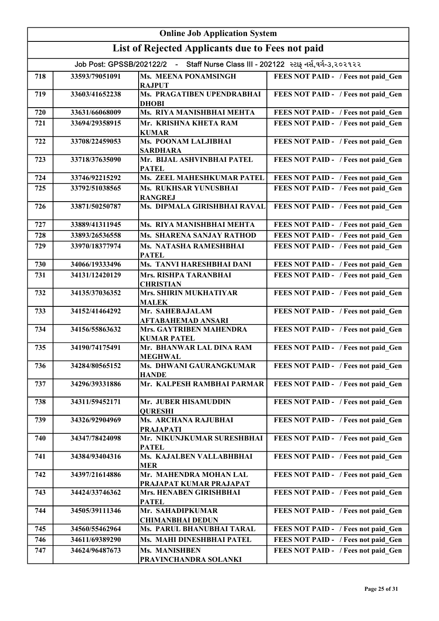| <b>Online Job Application System</b>                                                  |                |                                                      |                                     |
|---------------------------------------------------------------------------------------|----------------|------------------------------------------------------|-------------------------------------|
| List of Rejected Applicants due to Fees not paid                                      |                |                                                      |                                     |
| - Staff Nurse Class III - 202122 સ્ટાફ નર્સ,વર્ગ-૩,૨૦૨૧૨૨<br>Job Post: GPSSB/202122/2 |                |                                                      |                                     |
| 718                                                                                   | 33593/79051091 | Ms. MEENA PONAMSINGH<br><b>RAJPUT</b>                | FEES NOT PAID - / Fees not paid Gen |
| 719                                                                                   | 33603/41652238 | Ms. PRAGATIBEN UPENDRABHAI<br><b>DHOBI</b>           | FEES NOT PAID - / Fees not paid Gen |
| 720                                                                                   | 33631/66068009 | Ms. RIYA MANISHBHAI MEHTA                            | FEES NOT PAID - / Fees not paid Gen |
| 721                                                                                   | 33694/29358915 | Mr. KRISHNA KHETA RAM<br><b>KUMAR</b>                | FEES NOT PAID - / Fees not paid Gen |
| 722                                                                                   | 33708/22459053 | Ms. POONAM LALJIBHAI<br><b>SARDHARA</b>              | FEES NOT PAID - / Fees not paid Gen |
| 723                                                                                   | 33718/37635090 | Mr. BIJAL ASHVINBHAI PATEL<br><b>PATEL</b>           | FEES NOT PAID - / Fees not paid Gen |
| 724                                                                                   | 33746/92215292 | Ms. ZEEL MAHESHKUMAR PATEL                           | FEES NOT PAID - / Fees not paid Gen |
| 725                                                                                   | 33792/51038565 | Ms. RUKHSAR YUNUSBHAI<br><b>RANGREJ</b>              | FEES NOT PAID - / Fees not paid Gen |
| 726                                                                                   | 33871/50250787 | Ms. DIPMALA GIRISHBHAI RAVAL                         | FEES NOT PAID - / Fees not paid Gen |
| 727                                                                                   | 33889/41311945 | Ms. RIYA MANISHBHAI MEHTA                            | FEES NOT PAID - / Fees not paid_Gen |
| 728                                                                                   | 33893/26536558 | Ms. SHARENA SANJAY RATHOD                            | FEES NOT PAID - / Fees not paid Gen |
| 729                                                                                   | 33970/18377974 | Ms. NATASHA RAMESHBHAI<br><b>PATEL</b>               | FEES NOT PAID - / Fees not paid Gen |
| 730                                                                                   | 34066/19333496 | Ms. TANVI HARESHBHAI DANI                            | FEES NOT PAID - / Fees not paid Gen |
| 731                                                                                   | 34131/12420129 | <b>Mrs. RISHPA TARANBHAI</b><br><b>CHRISTIAN</b>     | FEES NOT PAID - / Fees not paid Gen |
| 732                                                                                   | 34135/37036352 | Mrs. SHIRIN MUKHATIYAR<br><b>MALEK</b>               | FEES NOT PAID - / Fees not paid_Gen |
| 733                                                                                   | 34152/41464292 | Mr. SAHEBAJALAM<br>AFTABAHEMAD ANSARI                | FEES NOT PAID - / Fees not paid_Gen |
| 734                                                                                   | 34156/55863632 | <b>Mrs. GAYTRIBEN MAHENDRA</b><br><b>KUMAR PATEL</b> | FEES NOT PAID - / Fees not paid Gen |
| 735                                                                                   | 34190/74175491 | Mr. BHANWAR LAL DINA RAM<br><b>MEGHWAL</b>           | FEES NOT PAID - / Fees not paid Gen |
| 736                                                                                   | 34284/80565152 | Ms. DHWANI GAURANGKUMAR<br><b>HANDE</b>              | FEES NOT PAID - / Fees not paid Gen |
| 737                                                                                   | 34296/39331886 | Mr. KALPESH RAMBHAI PARMAR                           | FEES NOT PAID - / Fees not paid Gen |
| 738                                                                                   | 34311/59452171 | Mr. JUBER HISAMUDDIN<br><b>QURESHI</b>               | FEES NOT PAID - / Fees not paid Gen |
| 739                                                                                   | 34326/92904969 | Ms. ARCHANA RAJUBHAI<br><b>PRAJAPATI</b>             | FEES NOT PAID - / Fees not paid Gen |
| 740                                                                                   | 34347/78424098 | Mr. NIKUNJKUMAR SURESHBHAI<br><b>PATEL</b>           | FEES NOT PAID - / Fees not paid Gen |
| 741                                                                                   | 34384/93404316 | Ms. KAJALBEN VALLABHBHAI<br><b>MER</b>               | FEES NOT PAID - / Fees not paid Gen |
| 742                                                                                   | 34397/21614886 | Mr. MAHENDRA MOHAN LAL<br>PRAJAPAT KUMAR PRAJAPAT    | FEES NOT PAID - / Fees not paid Gen |
| 743                                                                                   | 34424/33746362 | Mrs. HENABEN GIRISHBHAI<br><b>PATEL</b>              | FEES NOT PAID - / Fees not paid Gen |
| 744                                                                                   | 34505/39111346 | Mr. SAHADIPKUMAR<br><b>CHIMANBHAI DEDUN</b>          | FEES NOT PAID - / Fees not paid Gen |
| 745                                                                                   | 34560/55462964 | Ms. PARUL BHANUBHAI TARAL                            | FEES NOT PAID - / Fees not paid Gen |
| 746                                                                                   | 34611/69389290 | Ms. MAHI DINESHBHAI PATEL                            | FEES NOT PAID - / Fees not paid Gen |
| 747                                                                                   | 34624/96487673 | Ms. MANISHBEN<br>PRAVINCHANDRA SOLANKI               | FEES NOT PAID - / Fees not paid Gen |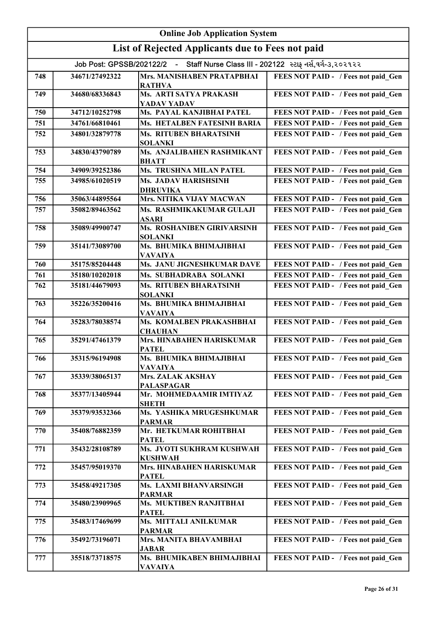| <b>Online Job Application System</b>                                               |                |                                                 |                                     |
|------------------------------------------------------------------------------------|----------------|-------------------------------------------------|-------------------------------------|
| List of Rejected Applicants due to Fees not paid                                   |                |                                                 |                                     |
| Job Post: GPSSB/202122/2 - Staff Nurse Class III - 202122 સ્ટાફ નર્સ,વર્ગ-૩,૨૦૨૧૨૨ |                |                                                 |                                     |
| 748                                                                                | 34671/27492322 | <b>Mrs. MANISHABEN PRATAPBHAI</b>               | FEES NOT PAID - / Fees not paid Gen |
| 749                                                                                | 34680/68336843 | <b>RATHVA</b><br>Ms. ARTI SATYA PRAKASH         | FEES NOT PAID - / Fees not paid Gen |
| 750                                                                                | 34712/10252798 | YADAV YADAV<br>Ms. PAYAL KANJIBHAI PATEL        | FEES NOT PAID - / Fees not paid Gen |
| 751                                                                                | 34761/66810461 | Ms. HETALBEN FATESINH BARIA                     | FEES NOT PAID - / Fees not paid Gen |
| 752                                                                                | 34801/32879778 | <b>Ms. RITUBEN BHARATSINH</b>                   | FEES NOT PAID - / Fees not paid Gen |
|                                                                                    |                | <b>SOLANKI</b>                                  |                                     |
| 753                                                                                | 34830/43790789 | Ms. ANJALIBAHEN RASHMIKANT<br><b>BHATT</b>      | FEES NOT PAID - / Fees not paid_Gen |
| 754                                                                                | 34909/39252386 | <b>Ms. TRUSHNA MILAN PATEL</b>                  | FEES NOT PAID - / Fees not paid Gen |
| 755                                                                                | 34985/61020519 | <b>Ms. JADAV HARISHSINH</b><br><b>DHRUVIKA</b>  | FEES NOT PAID - / Fees not paid Gen |
| 756                                                                                | 35063/44895564 | Mrs. NITIKA VIJAY MACWAN                        | FEES NOT PAID - / Fees not paid Gen |
| 757                                                                                | 35082/89463562 | Ms. RASHMIKAKUMAR GULAJI<br><b>ASARI</b>        | FEES NOT PAID - / Fees not paid Gen |
| 758                                                                                | 35089/49900747 | Ms. ROSHANIBEN GIRIVARSINH<br><b>SOLANKI</b>    | FEES NOT PAID - / Fees not paid Gen |
| 759                                                                                | 35141/73089700 | Ms. BHUMIKA BHIMAJIBHAI<br><b>VAVAIYA</b>       | FEES NOT PAID - / Fees not paid Gen |
| 760                                                                                | 35175/85204448 | Ms. JANU JIGNESHKUMAR DAVE                      | FEES NOT PAID - / Fees not paid Gen |
| 761                                                                                | 35180/10202018 | Ms. SUBHADRABA SOLANKI                          | FEES NOT PAID - / Fees not paid Gen |
| 762                                                                                | 35181/44679093 | <b>Ms. RITUBEN BHARATSINH</b><br><b>SOLANKI</b> | FEES NOT PAID - / Fees not paid_Gen |
| 763                                                                                | 35226/35200416 | Ms. BHUMIKA BHIMAJIBHAI<br><b>VAVAIYA</b>       | FEES NOT PAID - / Fees not paid Gen |
| 764                                                                                | 35283/78038574 | Ms. KOMALBEN PRAKASHBHAI<br><b>CHAUHAN</b>      | FEES NOT PAID - / Fees not paid Gen |
| 765                                                                                | 35291/47461379 | Mrs. HINABAHEN HARISKUMAR<br><b>PATEL</b>       | FEES NOT PAID - / Fees not paid Gen |
| 766                                                                                | 35315/96194908 | Ms. BHUMIKA BHIMAJIBHAI<br><b>VAVAIYA</b>       | FEES NOT PAID - / Fees not paid Gen |
| 767                                                                                | 35339/38065137 | <b>Mrs. ZALAK AKSHAY</b><br><b>PALASPAGAR</b>   | FEES NOT PAID - / Fees not paid Gen |
| 768                                                                                | 35377/13405944 | Mr. MOHMEDAAMIR IMTIYAZ<br><b>SHETH</b>         | FEES NOT PAID - / Fees not paid Gen |
| 769                                                                                | 35379/93532366 | Ms. YASHIKA MRUGESHKUMAR<br><b>PARMAR</b>       | FEES NOT PAID - / Fees not paid Gen |
| 770                                                                                | 35408/76882359 | Mr. HETKUMAR ROHITBHAI<br><b>PATEL</b>          | FEES NOT PAID - / Fees not paid Gen |
| 771                                                                                | 35432/28108789 | Ms. JYOTI SUKHRAM KUSHWAH<br><b>KUSHWAH</b>     | FEES NOT PAID - / Fees not paid Gen |
| 772                                                                                | 35457/95019370 | Mrs. HINABAHEN HARISKUMAR<br><b>PATEL</b>       | FEES NOT PAID - / Fees not paid Gen |
| 773                                                                                | 35458/49217305 | Ms. LAXMI BHANVARSINGH<br><b>PARMAR</b>         | FEES NOT PAID - / Fees not paid Gen |
| 774                                                                                | 35480/23909965 | Ms. MUKTIBEN RANJITBHAI<br><b>PATEL</b>         | FEES NOT PAID - / Fees not paid Gen |
| 775                                                                                | 35483/17469699 | Ms. MITTALI ANILKUMAR<br><b>PARMAR</b>          | FEES NOT PAID - / Fees not paid Gen |
| 776                                                                                | 35492/73196071 | Mrs. MANITA BHAVAMBHAI<br><b>JABAR</b>          | FEES NOT PAID - / Fees not paid Gen |
| 777                                                                                | 35518/73718575 | Ms. BHUMIKABEN BHIMAJIBHAI<br><b>VAVAIYA</b>    | FEES NOT PAID - / Fees not paid Gen |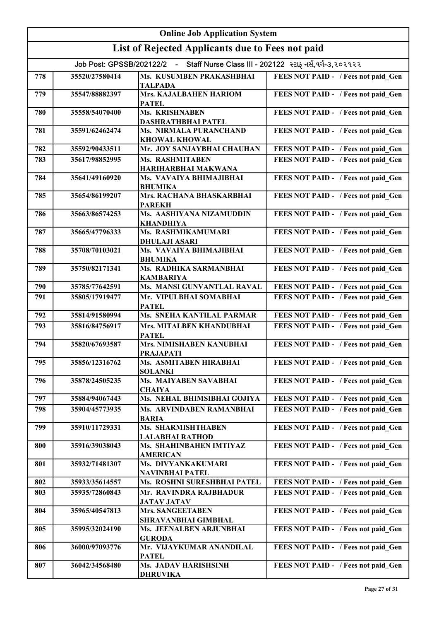| <b>Online Job Application System</b>                                               |                                                  |                                                |                                     |
|------------------------------------------------------------------------------------|--------------------------------------------------|------------------------------------------------|-------------------------------------|
|                                                                                    | List of Rejected Applicants due to Fees not paid |                                                |                                     |
| Job Post: GPSSB/202122/2 - Staff Nurse Class III - 202122 સ્ટાફ નર્સ,વર્ગ-૩,૨૦૨૧૨૨ |                                                  |                                                |                                     |
| 778                                                                                | 35520/27580414                                   | Ms. KUSUMBEN PRAKASHBHAI<br><b>TALPADA</b>     | FEES NOT PAID - / Fees not paid Gen |
| 779                                                                                | 35547/88882397                                   | Mrs. KAJALBAHEN HARIOM<br><b>PATEL</b>         | FEES NOT PAID - / Fees not paid Gen |
| 780                                                                                | 35558/54070400                                   | Ms. KRISHNABEN<br><b>DASHRATHBHAI PATEL</b>    | FEES NOT PAID - / Fees not paid Gen |
| 781                                                                                | 35591/62462474                                   | Ms. NIRMALA PURANCHAND<br><b>KHOWAL KHOWAL</b> | FEES NOT PAID - / Fees not paid Gen |
| 782                                                                                | 35592/90433511                                   | Mr. JOY SANJAYBHAI CHAUHAN                     | FEES NOT PAID - / Fees not paid Gen |
| 783                                                                                | 35617/98852995                                   | Ms. RASHMITABEN<br>HARIHARBHAI MAKWANA         | FEES NOT PAID - / Fees not paid Gen |
| 784                                                                                | 35641/49160920                                   | Ms. VAVAIYA BHIMAJIBHAI<br><b>BHUMIKA</b>      | FEES NOT PAID - / Fees not paid Gen |
| 785                                                                                | 35654/86199207                                   | Mrs. RACHANA BHASKARBHAI<br><b>PAREKH</b>      | FEES NOT PAID - / Fees not paid Gen |
| 786                                                                                | 35663/86574253                                   | Ms. AASHIYANA NIZAMUDDIN<br><b>KHANDHIYA</b>   | FEES NOT PAID - / Fees not paid Gen |
| 787                                                                                | 35665/47796333                                   | Ms. RASHMIKAMUMARI<br><b>DHULAJI ASARI</b>     | FEES NOT PAID - / Fees not paid Gen |
| 788                                                                                | 35708/70103021                                   | Ms. VAVAIYA BHIMAJIBHAI<br><b>BHUMIKA</b>      | FEES NOT PAID - / Fees not paid_Gen |
| 789                                                                                | 35750/82171341                                   | Ms. RADHIKA SARMANBHAI<br><b>KAMBARIYA</b>     | FEES NOT PAID - / Fees not paid Gen |
| 790                                                                                | 35785/77642591                                   | Ms. MANSI GUNVANTLAL RAVAL                     | FEES NOT PAID - / Fees not paid Gen |
| 791                                                                                | 35805/17919477                                   | Mr. VIPULBHAI SOMABHAI<br><b>PATEL</b>         | FEES NOT PAID - / Fees not paid Gen |
| 792                                                                                | 35814/91580994                                   | Ms. SNEHA KANTILAL PARMAR                      | FEES NOT PAID - / Fees not paid Gen |
| 793                                                                                | 35816/84756917                                   | Mrs. MITALBEN KHANDUBHAI<br><b>PATEL</b>       | FEES NOT PAID - / Fees not paid Gen |
| 794                                                                                | 35820/67693587                                   | Mrs. NIMISHABEN KANUBHAI<br><b>PRAJAPATI</b>   | FEES NOT PAID - / Fees not paid Gen |
| 795                                                                                | 35856/12316762                                   | Ms. ASMITABEN HIRABHAI<br><b>SOLANKI</b>       | FEES NOT PAID - / Fees not paid Gen |
| 796                                                                                | 35878/24505235                                   | Ms. MAIYABEN SAVABHAI<br><b>CHAIYA</b>         | FEES NOT PAID - / Fees not paid Gen |
| 797                                                                                | 35884/94067443                                   | Ms. NEHAL BHIMSIBHAI GOJIYA                    | FEES NOT PAID - / Fees not paid Gen |
| 798                                                                                | 35904/45773935                                   | Ms. ARVINDABEN RAMANBHAI<br><b>BARIA</b>       | FEES NOT PAID - / Fees not paid Gen |
| 799                                                                                | 35910/11729331                                   | Ms. SHARMISHTHABEN<br><b>LALABHAI RATHOD</b>   | FEES NOT PAID - / Fees not paid Gen |
| 800                                                                                | 35916/39038043                                   | Ms. SHAHINBAHEN IMTIYAZ<br><b>AMERICAN</b>     | FEES NOT PAID - / Fees not paid Gen |
| 801                                                                                | 35932/71481307                                   | Ms. DIVYANKAKUMARI<br><b>NAVINBHAI PATEL</b>   | FEES NOT PAID - / Fees not paid Gen |
| 802                                                                                | 35933/35614557                                   | Ms. ROSHNI SURESHBHAI PATEL                    | FEES NOT PAID - / Fees not paid Gen |
| 803                                                                                | 35935/72860843                                   | Mr. RAVINDRA RAJBHADUR<br><b>JATAV JATAV</b>   | FEES NOT PAID - / Fees not paid Gen |
| 804                                                                                | 35965/40547813                                   | <b>Mrs. SANGEETABEN</b><br>SHRAVANBHAI GIMBHAL | FEES NOT PAID - / Fees not paid Gen |
| 805                                                                                | 35995/32024190                                   | Ms. JEENALBEN ARJUNBHAI<br><b>GURODA</b>       | FEES NOT PAID - / Fees not paid Gen |
| 806                                                                                | 36000/97093776                                   | Mr. VIJAYKUMAR ANANDILAL<br><b>PATEL</b>       | FEES NOT PAID - / Fees not paid Gen |
| 807                                                                                | 36042/34568480                                   | Ms. JADAV HARISHSINH<br><b>DHRUVIKA</b>        | FEES NOT PAID - / Fees not paid Gen |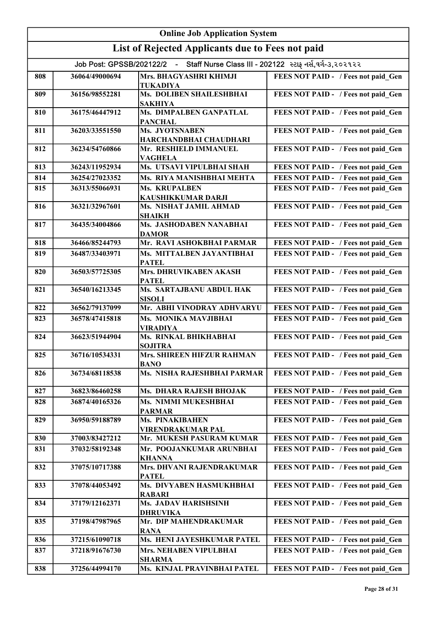| <b>Online Job Application System</b>                                               |                                                  |                                                                 |                                     |
|------------------------------------------------------------------------------------|--------------------------------------------------|-----------------------------------------------------------------|-------------------------------------|
|                                                                                    | List of Rejected Applicants due to Fees not paid |                                                                 |                                     |
| Job Post: GPSSB/202122/2 - Staff Nurse Class III - 202122 સ્ટાફ નર્સ,વર્ગ-૩,૨૦૨૧૨૨ |                                                  |                                                                 |                                     |
|                                                                                    |                                                  |                                                                 |                                     |
| 808                                                                                | 36064/49000694                                   | Mrs. BHAGYASHRI KHIMJI<br><b>TUKADIYA</b>                       | FEES NOT PAID - / Fees not paid Gen |
| 809                                                                                | 36156/98552281                                   | Ms. DOLIBEN SHAILESHBHAI<br><b>SAKHIYA</b>                      | FEES NOT PAID - / Fees not paid Gen |
| 810                                                                                | 36175/46447912                                   | Ms. DIMPALBEN GANPATLAL<br><b>PANCHAL</b>                       | FEES NOT PAID - / Fees not paid Gen |
| 811                                                                                | 36203/33551550                                   | Ms. JYOTSNABEN<br>HARCHANDBHAI CHAUDHARI                        | FEES NOT PAID - / Fees not paid Gen |
| 812                                                                                | 36234/54760866                                   | Mr. RESHIELD IMMANUEL                                           | FEES NOT PAID - / Fees not paid Gen |
| 813                                                                                | 36243/11952934                                   | <b>VAGHELA</b><br>Ms. UTSAVI VIPULBHAI SHAH                     | FEES NOT PAID - / Fees not paid Gen |
| 814                                                                                | 36254/27023352                                   | Ms. RIYA MANISHBHAI MEHTA                                       | FEES NOT PAID - / Fees not paid Gen |
| 815                                                                                | 36313/55066931                                   | Ms. KRUPALBEN                                                   | FEES NOT PAID - / Fees not paid Gen |
|                                                                                    |                                                  | KAUSHIKKUMAR DARJI                                              |                                     |
| 816                                                                                | 36321/32967601                                   | Ms. NISHAT JAMIL AHMAD<br><b>SHAIKH</b>                         | FEES NOT PAID - / Fees not paid Gen |
| 817                                                                                | 36435/34004866                                   | Ms. JASHODABEN NANABHAI<br><b>DAMOR</b>                         | FEES NOT PAID - / Fees not paid Gen |
| 818                                                                                | 36466/85244793                                   | Mr. RAVI ASHOKBHAI PARMAR                                       | FEES NOT PAID - / Fees not paid Gen |
| 819                                                                                | 36487/33403971                                   | Ms. MITTALBEN JAYANTIBHAI<br><b>PATEL</b>                       | FEES NOT PAID - / Fees not paid Gen |
| 820                                                                                | 36503/57725305                                   | Mrs. DHRUVIKABEN AKASH<br><b>PATEL</b>                          | FEES NOT PAID - / Fees not paid Gen |
| 821                                                                                | 36540/16213345                                   | Ms. SARTAJBANU ABDUL HAK<br><b>SISOLI</b>                       | FEES NOT PAID - / Fees not paid Gen |
| 822                                                                                | 36562/79137099                                   | Mr. ABHI VINODRAY ADHVARYU                                      | FEES NOT PAID - / Fees not paid Gen |
| 823                                                                                | 36578/47415818                                   | Ms. MONIKA MAVJIBHAI                                            | FEES NOT PAID - / Fees not paid Gen |
| 824                                                                                | 36623/51944904                                   | <b>VIRADIYA</b><br>Ms. RINKAL BHIKHABHAI                        | FEES NOT PAID - / Fees not paid Gen |
| 825                                                                                | 36716/10534331                                   | <b>SOJITRA</b><br><b>Mrs. SHIREEN HIFZUR RAHMAN</b>             | FEES NOT PAID - / Fees not paid Gen |
| 826                                                                                | 36734/68118538                                   | <b>BANO</b><br>Ms. NISHA RAJESHBHAI PARMAR                      | FEES NOT PAID - / Fees not paid Gen |
| 827                                                                                | 36823/86460258                                   | Ms. DHARA RAJESH BHOJAK                                         | FEES NOT PAID - / Fees not paid Gen |
| 828                                                                                | 36874/40165326                                   | Ms. NIMMI MUKESHBHAI<br><b>PARMAR</b>                           | FEES NOT PAID - / Fees not paid Gen |
| 829                                                                                | 36950/59188789                                   | Ms. PINAKIBAHEN<br><b>VIRENDRAKUMAR PAL</b>                     | FEES NOT PAID - / Fees not paid Gen |
| 830                                                                                | 37003/83427212                                   | Mr. MUKESH PASURAM KUMAR                                        | FEES NOT PAID - / Fees not paid Gen |
| 831                                                                                | 37032/58192348                                   | Mr. POOJANKUMAR ARUNBHAI<br><b>KHANNA</b>                       | FEES NOT PAID - / Fees not paid Gen |
| 832                                                                                | 37075/10717388                                   | Mrs. DHVANI RAJENDRAKUMAR<br><b>PATEL</b>                       | FEES NOT PAID - / Fees not paid Gen |
| 833                                                                                | 37078/44053492                                   | Ms. DIVYABEN HASMUKHBHAI                                        | FEES NOT PAID - / Fees not paid Gen |
| 834                                                                                | 37179/12162371                                   | <b>RABARI</b><br><b>Ms. JADAV HARISHSINH</b><br><b>DHRUVIKA</b> | FEES NOT PAID - / Fees not paid Gen |
| 835                                                                                | 37198/47987965                                   | Mr. DIP MAHENDRAKUMAR                                           | FEES NOT PAID - / Fees not paid_Gen |
| 836                                                                                | 37215/61090718                                   | <b>RANA</b><br>Ms. HENI JAYESHKUMAR PATEL                       | FEES NOT PAID - / Fees not paid Gen |
| 837                                                                                | 37218/91676730                                   | Mrs. NEHABEN VIPULBHAI                                          | FEES NOT PAID - / Fees not paid Gen |
| 838                                                                                | 37256/44994170                                   | <b>SHARMA</b><br>Ms. KINJAL PRAVINBHAI PATEL                    | FEES NOT PAID - / Fees not paid Gen |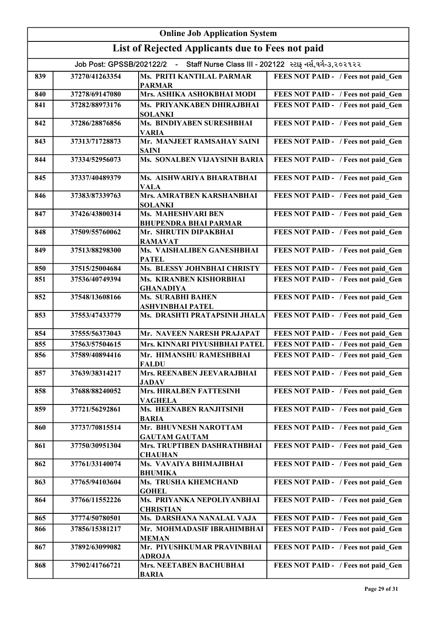| <b>Online Job Application System</b>                                               |                                                  |                                                     |                                            |
|------------------------------------------------------------------------------------|--------------------------------------------------|-----------------------------------------------------|--------------------------------------------|
|                                                                                    | List of Rejected Applicants due to Fees not paid |                                                     |                                            |
| Job Post: GPSSB/202122/2 - Staff Nurse Class III - 202122 સ્ટાફ નર્સ,વર્ગ-૩,૨૦૨૧૨૨ |                                                  |                                                     |                                            |
| 839                                                                                | 37270/41263354                                   | Ms. PRITI KANTILAL PARMAR<br><b>PARMAR</b>          | FEES NOT PAID - / Fees not paid Gen        |
| 840                                                                                | 37278/69147080                                   | Mrs. ASHIKA ASHOKBHAI MODI                          | FEES NOT PAID - / Fees not paid Gen        |
| 841                                                                                | 37282/88973176                                   | Ms. PRIYANKABEN DHIRAJBHAI<br><b>SOLANKI</b>        | FEES NOT PAID - / Fees not paid Gen        |
| 842                                                                                | 37286/28876856                                   | Ms. BINDIYABEN SURESHBHAI<br><b>VARIA</b>           | FEES NOT PAID - / Fees not paid_Gen        |
| 843                                                                                | 37313/71728873                                   | Mr. MANJEET RAMSAHAY SAINI<br><b>SAINI</b>          | FEES NOT PAID - / Fees not paid_Gen        |
| 844                                                                                | 37334/52956073                                   | Ms. SONALBEN VIJAYSINH BARIA                        | FEES NOT PAID - / Fees not paid_Gen        |
| 845                                                                                | 37337/40489379                                   | Ms. AISHWARIYA BHARATBHAI<br><b>VALA</b>            | FEES NOT PAID - / Fees not paid Gen        |
| 846                                                                                | 37383/87339763                                   | <b>Mrs. AMRATBEN KARSHANBHAI</b><br><b>SOLANKI</b>  | FEES NOT PAID - / Fees not paid_Gen        |
| 847                                                                                | 37426/43800314                                   | Ms. MAHESHVARI BEN<br><b>BHUPENDRA BHAI PARMAR</b>  | FEES NOT PAID - / Fees not paid Gen        |
| 848                                                                                | 37509/55760062                                   | Mr. SHRUTIN DIPAKBHAI<br><b>RAMAVAT</b>             | FEES NOT PAID - / Fees not paid_Gen        |
| 849                                                                                | 37513/88298300                                   | Ms. VAISHALIBEN GANESHBHAI<br><b>PATEL</b>          | FEES NOT PAID - / Fees not paid Gen        |
| 850                                                                                | 37515/25004684                                   | Ms. BLESSY JOHNBHAI CHRISTY                         | FEES NOT PAID - / Fees not paid Gen        |
| 851                                                                                | 37536/40749394                                   | Ms. KIRANBEN KISHORBHAI<br><b>GHANADIYA</b>         | FEES NOT PAID - / Fees not paid Gen        |
| 852                                                                                | 37548/13608166                                   | <b>Ms. SURABHI BAHEN</b><br><b>ASHVINBHAI PATEL</b> | FEES NOT PAID - / Fees not paid Gen        |
| 853                                                                                | 37553/47433779                                   | Ms. DRASHTI PRATAPSINH JHALA                        | FEES NOT PAID - / Fees not paid Gen        |
| 854                                                                                | 37555/56373043                                   | Mr. NAVEEN NARESH PRAJAPAT                          | FEES NOT PAID - / Fees not paid Gen        |
| 855                                                                                | 37563/57504615                                   | Mrs. KINNARI PIYUSHBHAI PATEL                       | FEES NOT PAID - / Fees not paid Gen        |
| 856                                                                                | 37589/40894416                                   | Mr. HIMANSHU RAMESHBHAI<br><b>FALDU</b>             | <b>FEES NOT PAID -</b> / Fees not paid Gen |
| 857                                                                                | 37639/38314217                                   | Mrs. REENABEN JEEVARAJBHAI<br><b>JADAV</b>          | FEES NOT PAID - / Fees not paid Gen        |
| 858                                                                                | 37688/88240052                                   | Mrs. HIRALBEN FATTESINH<br><b>VAGHELA</b>           | FEES NOT PAID - / Fees not paid Gen        |
| 859                                                                                | 37721/56292861                                   | <b>Ms. HEENABEN RANJITSINH</b><br><b>BARIA</b>      | FEES NOT PAID - / Fees not paid Gen        |
| 860                                                                                | 37737/70815514                                   | Mr. BHUVNESH NAROTTAM<br><b>GAUTAM GAUTAM</b>       | FEES NOT PAID - / Fees not paid Gen        |
| 861                                                                                | 37750/30951304                                   | Mrs. TRUPTIBEN DASHRATHBHAI<br><b>CHAUHAN</b>       | FEES NOT PAID - / Fees not paid Gen        |
| 862                                                                                | 37761/33140074                                   | Ms. VAVAIYA BHIMAJIBHAI<br><b>BHUMIKA</b>           | FEES NOT PAID - / Fees not paid Gen        |
| 863                                                                                | 37765/94103604                                   | Ms. TRUSHA KHEMCHAND<br><b>GOHEL</b>                | FEES NOT PAID - / Fees not paid Gen        |
| 864                                                                                | 37766/11552226                                   | Ms. PRIYANKA NEPOLIYANBHAI<br><b>CHRISTIAN</b>      | FEES NOT PAID - / Fees not paid Gen        |
| 865                                                                                | 37774/50780501                                   | Ms. DARSHANA NANALAL VAJA                           | FEES NOT PAID - / Fees not paid Gen        |
| 866                                                                                | 37856/15381217                                   | Mr. MOHMADASIF IBRAHIMBHAI<br><b>MEMAN</b>          | FEES NOT PAID - / Fees not paid Gen        |
| 867                                                                                | 37892/63099082                                   | Mr. PIYUSHKUMAR PRAVINBHAI<br><b>ADROJA</b>         | FEES NOT PAID - / Fees not paid Gen        |
| 868                                                                                | 37902/41766721                                   | Mrs. NEETABEN BACHUBHAI<br><b>BARIA</b>             | FEES NOT PAID - / Fees not paid Gen        |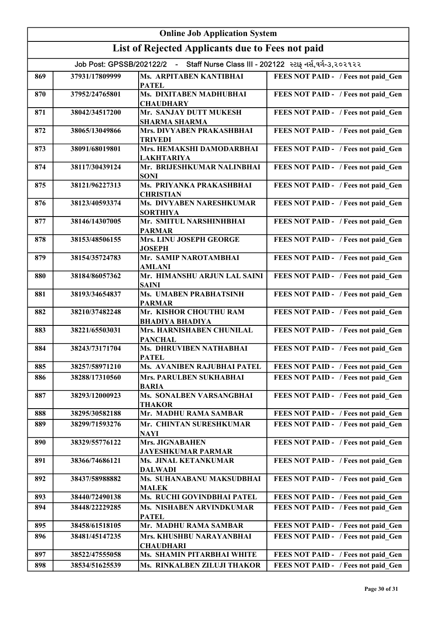| <b>Online Job Application System</b>                                               |                |                                                     |                                     |
|------------------------------------------------------------------------------------|----------------|-----------------------------------------------------|-------------------------------------|
| List of Rejected Applicants due to Fees not paid                                   |                |                                                     |                                     |
| Job Post: GPSSB/202122/2 - Staff Nurse Class III - 202122 સ્ટાફ નર્સ,વર્ગ-૩,૨૦૨૧૨૨ |                |                                                     |                                     |
| 869                                                                                | 37931/17809999 | Ms. ARPITABEN KANTIBHAI<br><b>PATEL</b>             | FEES NOT PAID - / Fees not paid Gen |
| 870                                                                                | 37952/24765801 | Ms. DIXITABEN MADHUBHAI<br><b>CHAUDHARY</b>         | FEES NOT PAID - / Fees not paid Gen |
| 871                                                                                | 38042/34517200 | Mr. SANJAY DUTT MUKESH<br><b>SHARMA SHARMA</b>      | FEES NOT PAID - / Fees not paid Gen |
| 872                                                                                | 38065/13049866 | Mrs. DIVYABEN PRAKASHBHAI<br><b>TRIVEDI</b>         | FEES NOT PAID - / Fees not paid Gen |
| 873                                                                                | 38091/68019801 | Mrs. HEMAKSHI DAMODARBHAI<br><b>LAKHTARIYA</b>      | FEES NOT PAID - / Fees not paid Gen |
| 874                                                                                | 38117/30439124 | Mr. BRIJESHKUMAR NALINBHAI<br><b>SONI</b>           | FEES NOT PAID - / Fees not paid Gen |
| 875                                                                                | 38121/96227313 | Ms. PRIYANKA PRAKASHBHAI<br><b>CHRISTIAN</b>        | FEES NOT PAID - / Fees not paid Gen |
| 876                                                                                | 38123/40593374 | Ms. DIVYABEN NARESHKUMAR<br><b>SORTHIYA</b>         | FEES NOT PAID - / Fees not paid_Gen |
| 877                                                                                | 38146/14307005 | Mr. SMITUL NARSHINHBHAI<br><b>PARMAR</b>            | FEES NOT PAID - / Fees not paid Gen |
| 878                                                                                | 38153/48506155 | Mrs. LINU JOSEPH GEORGE<br><b>JOSEPH</b>            | FEES NOT PAID - / Fees not paid_Gen |
| 879                                                                                | 38154/35724783 | Mr. SAMIP NAROTAMBHAI<br><b>AMLANI</b>              | FEES NOT PAID - / Fees not paid_Gen |
| 880                                                                                | 38184/86057362 | Mr. HIMANSHU ARJUN LAL SAINI<br><b>SAINI</b>        | FEES NOT PAID - / Fees not paid_Gen |
| 881                                                                                | 38193/34654837 | Ms. UMABEN PRABHATSINH<br><b>PARMAR</b>             | FEES NOT PAID - / Fees not paid_Gen |
| 882                                                                                | 38210/37482248 | Mr. KISHOR CHOUTHU RAM<br><b>BHADIYA BHADIYA</b>    | FEES NOT PAID - / Fees not paid Gen |
| 883                                                                                | 38221/65503031 | Mrs. HARNISHABEN CHUNILAL<br><b>PANCHAL</b>         | FEES NOT PAID - / Fees not paid Gen |
| 884                                                                                | 38243/73171704 | Ms. DHRUVIBEN NATHABHAI<br><b>PATEL</b>             | FEES NOT PAID - / Fees not paid Gen |
| 885                                                                                | 38257/58971210 | Ms. AVANIBEN RAJUBHAI PATEL                         | FEES NOT PAID - / Fees not paid Gen |
| 886                                                                                | 38288/17310560 | Mrs. PARULBEN SUKHABHAI<br><b>BARIA</b>             | FEES NOT PAID - / Fees not paid Gen |
| 887                                                                                | 38293/12000923 | Ms. SONALBEN VARSANGBHAI<br><b>THAKOR</b>           | FEES NOT PAID - / Fees not paid Gen |
| 888                                                                                | 38295/30582188 | Mr. MADHU RAMA SAMBAR                               | FEES NOT PAID - / Fees not paid Gen |
| 889                                                                                | 38299/71593276 | Mr. CHINTAN SURESHKUMAR<br><b>NAYI</b>              | FEES NOT PAID - / Fees not paid Gen |
| 890                                                                                | 38329/55776122 | <b>Mrs. JIGNABAHEN</b><br><b>JAYESHKUMAR PARMAR</b> | FEES NOT PAID - / Fees not paid Gen |
| 891                                                                                | 38366/74686121 | <b>Ms. JINAL KETANKUMAR</b><br><b>DALWADI</b>       | FEES NOT PAID - / Fees not paid Gen |
| 892                                                                                | 38437/58988882 | Ms. SUHANABANU MAKSUDBHAI<br><b>MALEK</b>           | FEES NOT PAID - / Fees not paid Gen |
| 893                                                                                | 38440/72490138 | Ms. RUCHI GOVINDBHAI PATEL                          | FEES NOT PAID - / Fees not paid_Gen |
| 894                                                                                | 38448/22229285 | Ms. NISHABEN ARVINDKUMAR<br><b>PATEL</b>            | FEES NOT PAID - / Fees not paid Gen |
| 895                                                                                | 38458/61518105 | Mr. MADHU RAMA SAMBAR                               | FEES NOT PAID - / Fees not paid Gen |
| 896                                                                                | 38481/45147235 | Mrs. KHUSHBU NARAYANBHAI<br><b>CHAUDHARI</b>        | FEES NOT PAID - / Fees not paid Gen |
| 897                                                                                | 38522/47555058 | Ms. SHAMIN PITARBHAI WHITE                          | FEES NOT PAID - / Fees not paid Gen |
| 898                                                                                | 38534/51625539 | Ms. RINKALBEN ZILUJI THAKOR                         | FEES NOT PAID - / Fees not paid Gen |